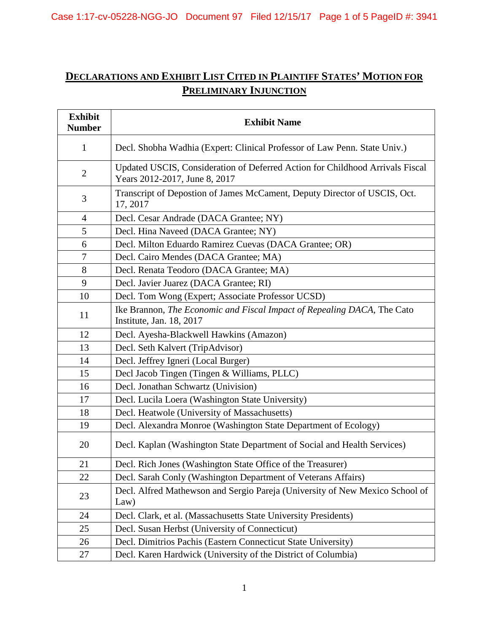# **DECLARATIONS AND EXHIBIT LIST CITED IN PLAINTIFF STATES' MOTION FOR PRELIMINARY INJUNCTION**

| <b>Exhibit</b><br><b>Number</b> | <b>Exhibit Name</b>                                                                                            |
|---------------------------------|----------------------------------------------------------------------------------------------------------------|
| $\mathbf{1}$                    | Decl. Shobha Wadhia (Expert: Clinical Professor of Law Penn. State Univ.)                                      |
| $\mathfrak{2}$                  | Updated USCIS, Consideration of Deferred Action for Childhood Arrivals Fiscal<br>Years 2012-2017, June 8, 2017 |
| 3                               | Transcript of Depostion of James McCament, Deputy Director of USCIS, Oct.<br>17, 2017                          |
| 4                               | Decl. Cesar Andrade (DACA Grantee; NY)                                                                         |
| 5                               | Decl. Hina Naveed (DACA Grantee; NY)                                                                           |
| 6                               | Decl. Milton Eduardo Ramirez Cuevas (DACA Grantee; OR)                                                         |
| 7                               | Decl. Cairo Mendes (DACA Grantee; MA)                                                                          |
| 8                               | Decl. Renata Teodoro (DACA Grantee; MA)                                                                        |
| 9                               | Decl. Javier Juarez (DACA Grantee; RI)                                                                         |
| 10                              | Decl. Tom Wong (Expert; Associate Professor UCSD)                                                              |
| 11                              | Ike Brannon, The Economic and Fiscal Impact of Repealing DACA, The Cato<br>Institute, Jan. 18, 2017            |
| 12                              | Decl. Ayesha-Blackwell Hawkins (Amazon)                                                                        |
| 13                              | Decl. Seth Kalvert (TripAdvisor)                                                                               |
| 14                              | Decl. Jeffrey Igneri (Local Burger)                                                                            |
| 15                              | Decl Jacob Tingen (Tingen & Williams, PLLC)                                                                    |
| 16                              | Decl. Jonathan Schwartz (Univision)                                                                            |
| 17                              | Decl. Lucila Loera (Washington State University)                                                               |
| 18                              | Decl. Heatwole (University of Massachusetts)                                                                   |
| 19                              | Decl. Alexandra Monroe (Washington State Department of Ecology)                                                |
| 20                              | Decl. Kaplan (Washington State Department of Social and Health Services)                                       |
| 21                              | Decl. Rich Jones (Washington State Office of the Treasurer)                                                    |
| 22                              | Decl. Sarah Conly (Washington Department of Veterans Affairs)                                                  |
| 23                              | Decl. Alfred Mathewson and Sergio Pareja (University of New Mexico School of<br>Law)                           |
| 24                              | Decl. Clark, et al. (Massachusetts State University Presidents)                                                |
| 25                              | Decl. Susan Herbst (University of Connecticut)                                                                 |
| 26                              | Decl. Dimitrios Pachis (Eastern Connecticut State University)                                                  |
| 27                              | Decl. Karen Hardwick (University of the District of Columbia)                                                  |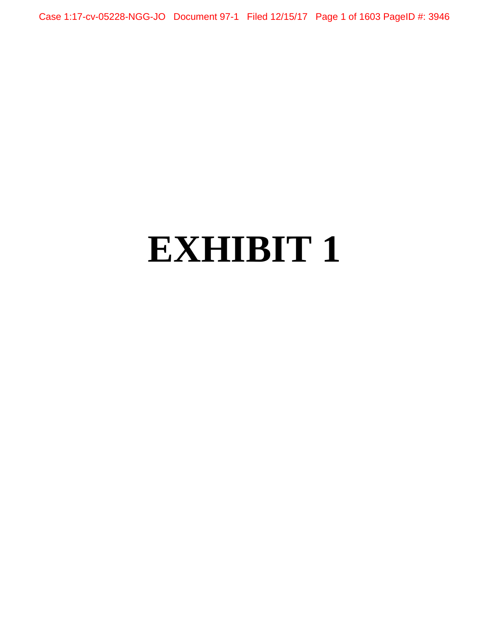Case 1:17-cv-05228-NGG-JO Document 97-1 Filed 12/15/17 Page 1 of 1603 PageID #: 3946

# **EXHIBIT 1**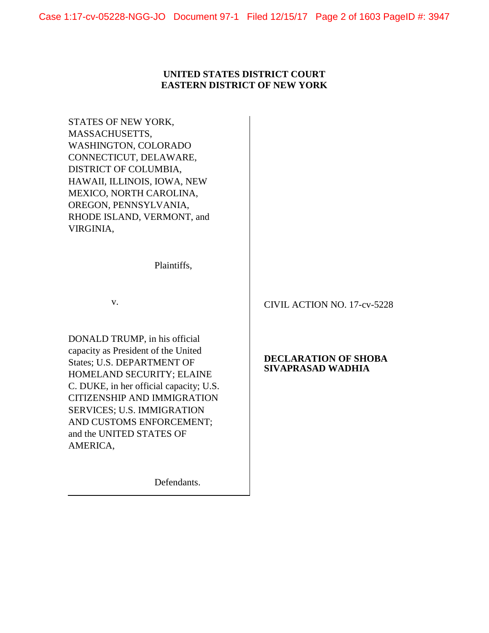## **UNITED STATES DISTRICT COURT EASTERN DISTRICT OF NEW YORK**

STATES OF NEW YORK, MASSACHUSETTS, WASHINGTON, COLORADO CONNECTICUT, DELAWARE, DISTRICT OF COLUMBIA, HAWAII, ILLINOIS, IOWA, NEW MEXICO, NORTH CAROLINA, OREGON, PENNSYLVANIA, RHODE ISLAND, VERMONT, and VIRGINIA,

Plaintiffs,

v.

DONALD TRUMP, in his official capacity as President of the United States; U.S. DEPARTMENT OF HOMELAND SECURITY; ELAINE C. DUKE, in her official capacity; U.S. CITIZENSHIP AND IMMIGRATION SERVICES; U.S. IMMIGRATION AND CUSTOMS ENFORCEMENT; and the UNITED STATES OF AMERICA,

Defendants.

CIVIL ACTION NO. 17-cv-5228

## **DECLARATION OF SHOBA SIVAPRASAD WADHIA**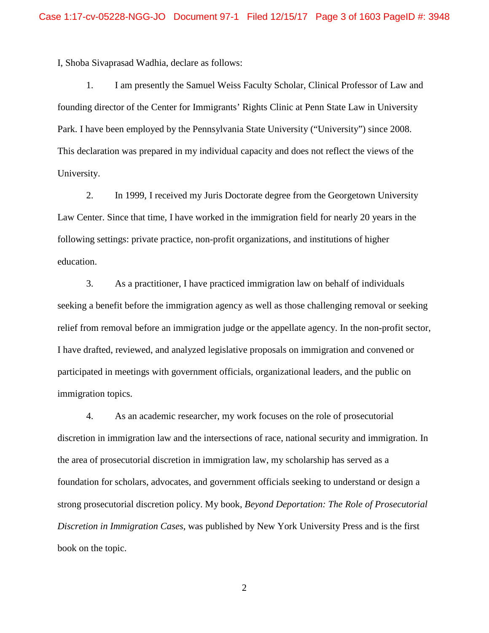I, Shoba Sivaprasad Wadhia, declare as follows:

1. I am presently the Samuel Weiss Faculty Scholar, Clinical Professor of Law and founding director of the Center for Immigrants' Rights Clinic at Penn State Law in University Park. I have been employed by the Pennsylvania State University ("University") since 2008. This declaration was prepared in my individual capacity and does not reflect the views of the University.

2. In 1999, I received my Juris Doctorate degree from the Georgetown University Law Center. Since that time, I have worked in the immigration field for nearly 20 years in the following settings: private practice, non-profit organizations, and institutions of higher education.

3. As a practitioner, I have practiced immigration law on behalf of individuals seeking a benefit before the immigration agency as well as those challenging removal or seeking relief from removal before an immigration judge or the appellate agency. In the non-profit sector, I have drafted, reviewed, and analyzed legislative proposals on immigration and convened or participated in meetings with government officials, organizational leaders, and the public on immigration topics.

4. As an academic researcher, my work focuses on the role of prosecutorial discretion in immigration law and the intersections of race, national security and immigration. In the area of prosecutorial discretion in immigration law, my scholarship has served as a foundation for scholars, advocates, and government officials seeking to understand or design a strong prosecutorial discretion policy. My book, *Beyond Deportation: The Role of Prosecutorial Discretion in Immigration Cases*, was published by New York University Press and is the first book on the topic.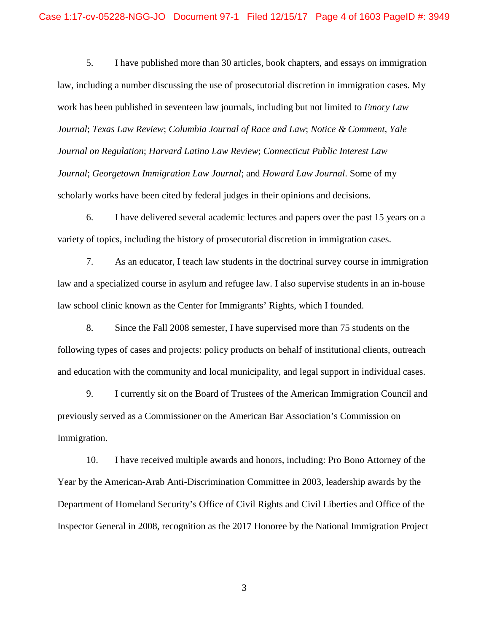5. I have published more than 30 articles, book chapters, and essays on immigration law, including a number discussing the use of prosecutorial discretion in immigration cases. My work has been published in seventeen law journals, including but not limited to *Emory Law Journal*; *Texas Law Review*; *Columbia Journal of Race and Law*; *Notice & Comment, Yale Journal on Regulation*; *Harvard Latino Law Review*; *Connecticut Public Interest Law Journal*; *Georgetown Immigration Law Journal*; and *Howard Law Journal*. Some of my scholarly works have been cited by federal judges in their opinions and decisions.

6. I have delivered several academic lectures and papers over the past 15 years on a variety of topics, including the history of prosecutorial discretion in immigration cases.

7. As an educator, I teach law students in the doctrinal survey course in immigration law and a specialized course in asylum and refugee law. I also supervise students in an in-house law school clinic known as the Center for Immigrants' Rights, which I founded.

8. Since the Fall 2008 semester, I have supervised more than 75 students on the following types of cases and projects: policy products on behalf of institutional clients, outreach and education with the community and local municipality, and legal support in individual cases.

9. I currently sit on the Board of Trustees of the American Immigration Council and previously served as a Commissioner on the American Bar Association's Commission on Immigration.

10. I have received multiple awards and honors, including: Pro Bono Attorney of the Year by the American-Arab Anti-Discrimination Committee in 2003, leadership awards by the Department of Homeland Security's Office of Civil Rights and Civil Liberties and Office of the Inspector General in 2008, recognition as the 2017 Honoree by the National Immigration Project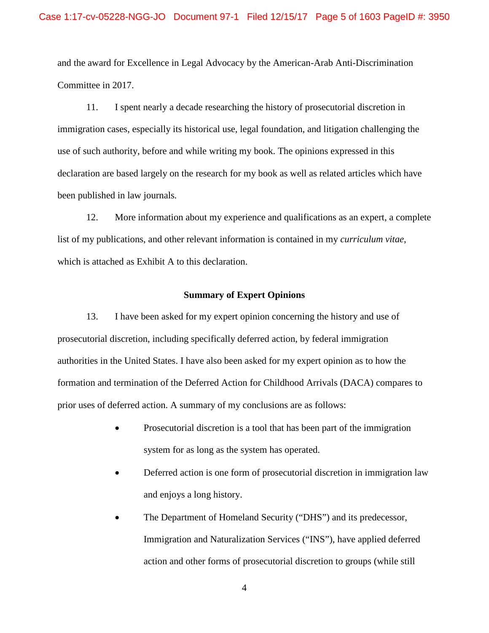and the award for Excellence in Legal Advocacy by the American-Arab Anti-Discrimination Committee in 2017.

11. I spent nearly a decade researching the history of prosecutorial discretion in immigration cases, especially its historical use, legal foundation, and litigation challenging the use of such authority, before and while writing my book. The opinions expressed in this declaration are based largely on the research for my book as well as related articles which have been published in law journals*.*

12. More information about my experience and qualifications as an expert, a complete list of my publications, and other relevant information is contained in my *curriculum vitae*, which is attached as Exhibit A to this declaration.

#### **Summary of Expert Opinions**

13. I have been asked for my expert opinion concerning the history and use of prosecutorial discretion, including specifically deferred action, by federal immigration authorities in the United States. I have also been asked for my expert opinion as to how the formation and termination of the Deferred Action for Childhood Arrivals (DACA) compares to prior uses of deferred action. A summary of my conclusions are as follows:

- Prosecutorial discretion is a tool that has been part of the immigration system for as long as the system has operated.
- Deferred action is one form of prosecutorial discretion in immigration law and enjoys a long history.
- The Department of Homeland Security ("DHS") and its predecessor, Immigration and Naturalization Services ("INS"), have applied deferred action and other forms of prosecutorial discretion to groups (while still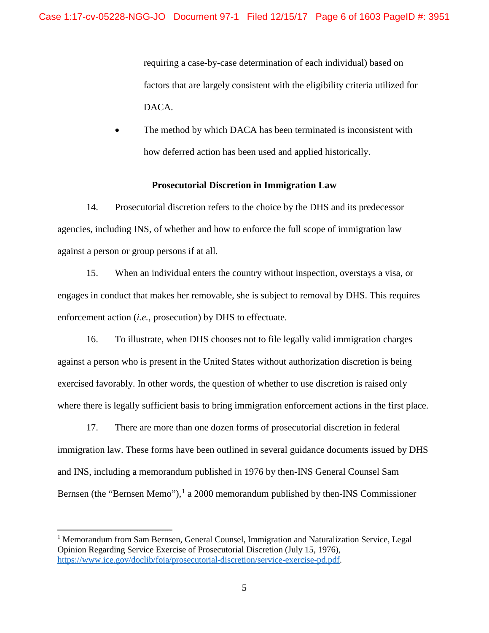requiring a case-by-case determination of each individual) based on factors that are largely consistent with the eligibility criteria utilized for DACA.

The method by which DACA has been terminated is inconsistent with how deferred action has been used and applied historically.

#### **Prosecutorial Discretion in Immigration Law**

14. Prosecutorial discretion refers to the choice by the DHS and its predecessor agencies, including INS, of whether and how to enforce the full scope of immigration law against a person or group persons if at all.

15. When an individual enters the country without inspection, overstays a visa, or engages in conduct that makes her removable, she is subject to removal by DHS. This requires enforcement action (*i.e.*, prosecution) by DHS to effectuate.

16. To illustrate, when DHS chooses not to file legally valid immigration charges against a person who is present in the United States without authorization discretion is being exercised favorably. In other words, the question of whether to use discretion is raised only where there is legally sufficient basis to bring immigration enforcement actions in the first place.

17. There are more than one dozen forms of prosecutorial discretion in federal immigration law. These forms have been outlined in several guidance documents issued by DHS and INS, including a memorandum published in 1976 by then-INS General Counsel Sam Bernsen (the "Bernsen Memo"),<sup>[1](#page-6-0)</sup> a 2000 memorandum published by then-INS Commissioner

<span id="page-6-0"></span><sup>&</sup>lt;sup>1</sup> Memorandum from Sam Bernsen, General Counsel, Immigration and Naturalization Service, Legal Opinion Regarding Service Exercise of Prosecutorial Discretion (July 15, 1976), [https://www.ice.gov/doclib/foia/prosecutorial-discretion/service-exercise-pd.pdf.](https://www.ice.gov/doclib/foia/prosecutorial-discretion/service-exercise-pd.pdf)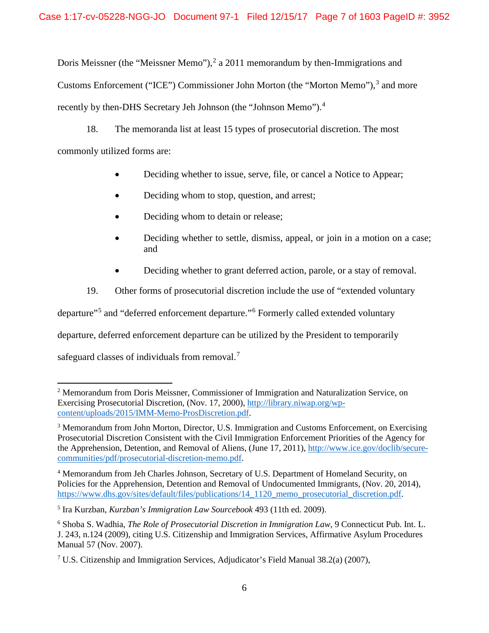Doris Meissner (the "Meissner Memo"),  $2a$  $2a$  2011 memorandum by then-Immigrations and Customs Enforcement ("ICE") Commissioner John Morton (the "Morton Memo"),<sup>[3](#page-7-1)</sup> and more recently by then-DHS Secretary Jeh Johnson (the "Johnson Memo").<sup>[4](#page-7-2)</sup>

18. The memoranda list at least 15 types of prosecutorial discretion. The most commonly utilized forms are:

- Deciding whether to issue, serve, file, or cancel a Notice to Appear;
- Deciding whom to stop, question, and arrest;
- Deciding whom to detain or release;
- Deciding whether to settle, dismiss, appeal, or join in a motion on a case; and
- Deciding whether to grant deferred action, parole, or a stay of removal.

19. Other forms of prosecutorial discretion include the use of "extended voluntary

departure"[5](#page-7-3) and "deferred enforcement departure."[6](#page-7-4) Formerly called extended voluntary

departure, deferred enforcement departure can be utilized by the President to temporarily

safeguard classes of individuals from removal.<sup>[7](#page-7-5)</sup>

<span id="page-7-0"></span>l <sup>2</sup> Memorandum from Doris Meissner, Commissioner of Immigration and Naturalization Service, on Exercising Prosecutorial Discretion, (Nov. 17, 2000)[, http://library.niwap.org/wp](http://library.niwap.org/wp-content/uploads/2015/IMM-Memo-ProsDiscretion.pdf)[content/uploads/2015/IMM-Memo-ProsDiscretion.pdf.](http://library.niwap.org/wp-content/uploads/2015/IMM-Memo-ProsDiscretion.pdf)

<span id="page-7-1"></span><sup>3</sup> Memorandum from John Morton, Director, U.S. Immigration and Customs Enforcement, on Exercising Prosecutorial Discretion Consistent with the Civil Immigration Enforcement Priorities of the Agency for the Apprehension, Detention, and Removal of Aliens, (June 17, 2011)[, http://www.ice.gov/doclib/secure](http://www.ice.gov/doclib/secure-communities/pdf/prosecutorial-discretion-memo.pdf)[communities/pdf/prosecutorial-discretion-memo.pdf.](http://www.ice.gov/doclib/secure-communities/pdf/prosecutorial-discretion-memo.pdf)

<span id="page-7-2"></span><sup>4</sup> Memorandum from Jeh Charles Johnson, Secretary of U.S. Department of Homeland Security, on Policies for the Apprehension, Detention and Removal of Undocumented Immigrants, (Nov. 20, 2014), [https://www.dhs.gov/sites/default/files/publications/14\\_1120\\_memo\\_prosecutorial\\_discretion.pdf.](https://www.dhs.gov/sites/default/files/publications/14_1120_memo_prosecutorial_discretion.pdf)

<span id="page-7-3"></span><sup>5</sup> Ira Kurzban, *Kurzban's Immigration Law Sourcebook* 493 (11th ed. 2009).

<span id="page-7-4"></span><sup>6</sup> Shoba S. Wadhia, *The Role of Prosecutorial Discretion in Immigration Law*, 9 Connecticut Pub. Int. L. J. 243, n.124 (2009), citing U.S. Citizenship and Immigration Services, Affirmative Asylum Procedures Manual 57 (Nov. 2007).

<span id="page-7-5"></span><sup>7</sup> U.S. Citizenship and Immigration Services, Adjudicator's Field Manual 38.2(a) (2007),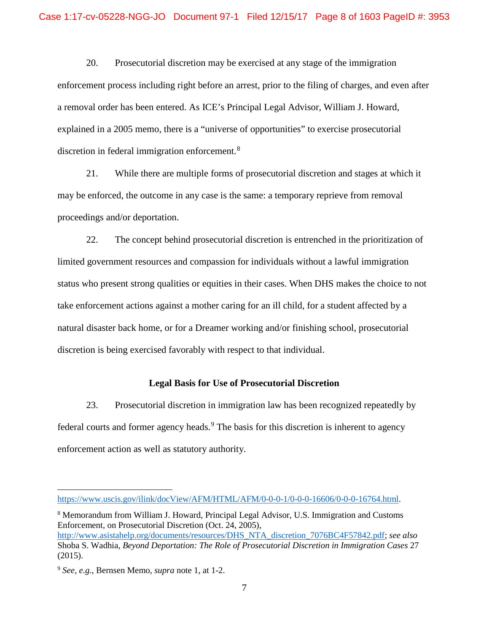20. Prosecutorial discretion may be exercised at any stage of the immigration enforcement process including right before an arrest, prior to the filing of charges, and even after a removal order has been entered. As ICE's Principal Legal Advisor, William J. Howard, explained in a 2005 memo, there is a "universe of opportunities" to exercise prosecutorial discretion in federal immigration enforcement.<sup>[8](#page-8-0)</sup>

21. While there are multiple forms of prosecutorial discretion and stages at which it may be enforced, the outcome in any case is the same: a temporary reprieve from removal proceedings and/or deportation.

22. The concept behind prosecutorial discretion is entrenched in the prioritization of limited government resources and compassion for individuals without a lawful immigration status who present strong qualities or equities in their cases. When DHS makes the choice to not take enforcement actions against a mother caring for an ill child, for a student affected by a natural disaster back home, or for a Dreamer working and/or finishing school, prosecutorial discretion is being exercised favorably with respect to that individual.

## **Legal Basis for Use of Prosecutorial Discretion**

23. Prosecutorial discretion in immigration law has been recognized repeatedly by federal courts and former agency heads.<sup>[9](#page-8-1)</sup> The basis for this discretion is inherent to agency enforcement action as well as statutory authority.

<span id="page-8-0"></span><sup>8</sup> Memorandum from William J. Howard, Principal Legal Advisor, U.S. Immigration and Customs Enforcement, on Prosecutorial Discretion (Oct. 24, 2005), [http://www.asistahelp.org/documents/resources/DHS\\_NTA\\_discretion\\_7076BC4F57842.pdf;](http://www.asistahelp.org/documents/resources/DHS_NTA_discretion_7076BC4F57842.pdf) *see also*  Shoba S. Wadhia, *Beyond Deportation: The Role of Prosecutorial Discretion in Immigration Cases* 27 (2015).

[https://www.uscis.gov/ilink/docView/AFM/HTML/AFM/0-0-0-1/0-0-0-16606/0-0-0-16764.html.](https://www.uscis.gov/ilink/docView/AFM/HTML/AFM/0-0-0-1/0-0-0-16606/0-0-0-16764.html)

<span id="page-8-1"></span><sup>9</sup> *See, e.g.*, Bernsen Memo, *supra* note 1, at 1-2.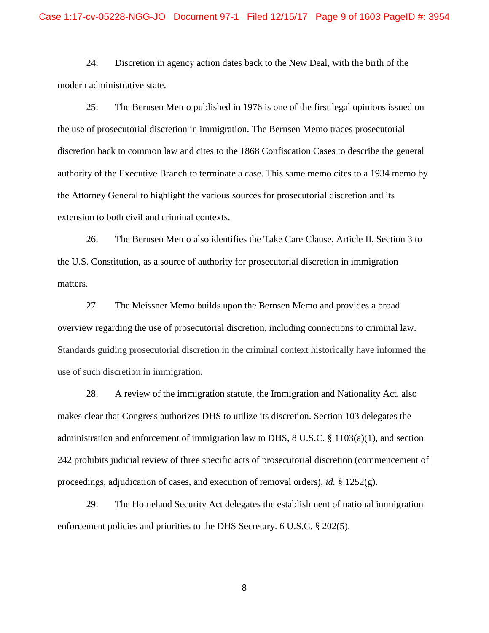24. Discretion in agency action dates back to the New Deal, with the birth of the modern administrative state.

25. The Bernsen Memo published in 1976 is one of the first legal opinions issued on the use of prosecutorial discretion in immigration. The Bernsen Memo traces prosecutorial discretion back to common law and cites to the 1868 Confiscation Cases to describe the general authority of the Executive Branch to terminate a case. This same memo cites to a 1934 memo by the Attorney General to highlight the various sources for prosecutorial discretion and its extension to both civil and criminal contexts.

26. The Bernsen Memo also identifies the Take Care Clause, Article II, Section 3 to the U.S. Constitution, as a source of authority for prosecutorial discretion in immigration matters.

27. The Meissner Memo builds upon the Bernsen Memo and provides a broad overview regarding the use of prosecutorial discretion, including connections to criminal law. Standards guiding prosecutorial discretion in the criminal context historically have informed the use of such discretion in immigration.

28. A review of the immigration statute, the Immigration and Nationality Act, also makes clear that Congress authorizes DHS to utilize its discretion. Section 103 delegates the administration and enforcement of immigration law to DHS,  $8 \text{ U.S.C. } \frac{8}{3} \cdot 1103(a)(1)$ , and section 242 prohibits judicial review of three specific acts of prosecutorial discretion (commencement of proceedings, adjudication of cases, and execution of removal orders), *id.*  $\S$  1252(g).

29. The Homeland Security Act delegates the establishment of national immigration enforcement policies and priorities to the DHS Secretary. 6 U.S.C. § 202(5).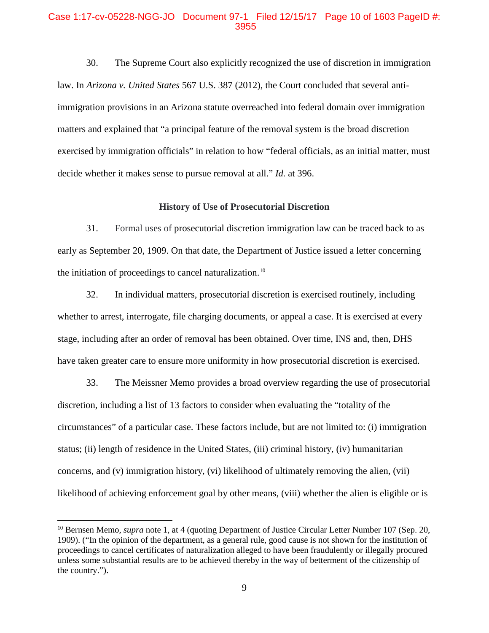#### Case 1:17-cv-05228-NGG-JO Document 97-1 Filed 12/15/17 Page 10 of 1603 PageID #: 3955

30. The Supreme Court also explicitly recognized the use of discretion in immigration law. In *Arizona v. United States* 567 U.S. 387 (2012), the Court concluded that several antiimmigration provisions in an Arizona statute overreached into federal domain over immigration matters and explained that "a principal feature of the removal system is the broad discretion exercised by immigration officials" in relation to how "federal officials, as an initial matter, must decide whether it makes sense to pursue removal at all." *Id.* at 396.

#### **History of Use of Prosecutorial Discretion**

31. Formal uses of prosecutorial discretion immigration law can be traced back to as early as September 20, 1909. On that date, the Department of Justice issued a letter concerning the initiation of proceedings to cancel naturalization.<sup>[10](#page-10-0)</sup>

32. In individual matters, prosecutorial discretion is exercised routinely, including whether to arrest, interrogate, file charging documents, or appeal a case. It is exercised at every stage, including after an order of removal has been obtained. Over time, INS and, then, DHS have taken greater care to ensure more uniformity in how prosecutorial discretion is exercised.

33. The Meissner Memo provides a broad overview regarding the use of prosecutorial discretion, including a list of 13 factors to consider when evaluating the "totality of the circumstances" of a particular case. These factors include, but are not limited to: (i) immigration status; (ii) length of residence in the United States, (iii) criminal history, (iv) humanitarian concerns, and (v) immigration history, (vi) likelihood of ultimately removing the alien, (vii) likelihood of achieving enforcement goal by other means, (viii) whether the alien is eligible or is

<span id="page-10-0"></span><sup>&</sup>lt;sup>10</sup> Bernsen Memo, *supra* note 1, at 4 (quoting Department of Justice Circular Letter Number 107 (Sep. 20, 1909). ("In the opinion of the department, as a general rule, good cause is not shown for the institution of proceedings to cancel certificates of naturalization alleged to have been fraudulently or illegally procured unless some substantial results are to be achieved thereby in the way of betterment of the citizenship of the country.").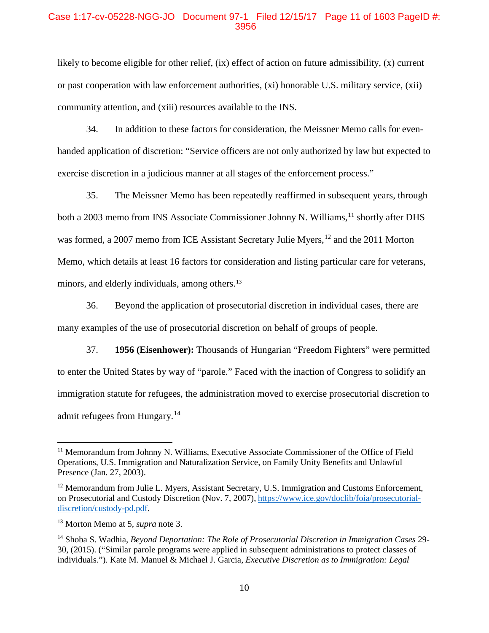#### Case 1:17-cv-05228-NGG-JO Document 97-1 Filed 12/15/17 Page 11 of 1603 PageID #: 3956

likely to become eligible for other relief, (ix) effect of action on future admissibility, (x) current or past cooperation with law enforcement authorities, (xi) honorable U.S. military service, (xii) community attention, and (xiii) resources available to the INS.

34. In addition to these factors for consideration, the Meissner Memo calls for evenhanded application of discretion: "Service officers are not only authorized by law but expected to exercise discretion in a judicious manner at all stages of the enforcement process."

35. The Meissner Memo has been repeatedly reaffirmed in subsequent years, through both a 2003 memo from INS Associate Commissioner Johnny N. Williams,<sup>[11](#page-11-0)</sup> shortly after DHS was formed, a 2007 memo from ICE Assistant Secretary Julie Myers, <sup>[12](#page-11-1)</sup> and the 2011 Morton Memo, which details at least 16 factors for consideration and listing particular care for veterans, minors, and elderly individuals, among others.<sup>[13](#page-11-2)</sup>

36. Beyond the application of prosecutorial discretion in individual cases, there are many examples of the use of prosecutorial discretion on behalf of groups of people.

37. **1956 (Eisenhower):** Thousands of Hungarian "Freedom Fighters" were permitted to enter the United States by way of "parole." Faced with the inaction of Congress to solidify an immigration statute for refugees, the administration moved to exercise prosecutorial discretion to admit refugees from Hungary.<sup>[14](#page-11-3)</sup>

<span id="page-11-0"></span><sup>&</sup>lt;sup>11</sup> Memorandum from Johnny N. Williams, Executive Associate Commissioner of the Office of Field Operations, U.S. Immigration and Naturalization Service, on Family Unity Benefits and Unlawful Presence (Jan. 27, 2003).

<span id="page-11-1"></span><sup>&</sup>lt;sup>12</sup> Memorandum from Julie L. Myers, Assistant Secretary, U.S. Immigration and Customs Enforcement, on Prosecutorial and Custody Discretion (Nov. 7, 2007), [https://www.ice.gov/doclib/foia/prosecutorial](https://www.ice.gov/doclib/foia/prosecutorial-discretion/custody-pd.pdf)[discretion/custody-pd.pdf.](https://www.ice.gov/doclib/foia/prosecutorial-discretion/custody-pd.pdf)

<span id="page-11-2"></span><sup>13</sup> Morton Memo at 5, *supra* note 3.

<span id="page-11-3"></span><sup>14</sup> Shoba S. Wadhia, *Beyond Deportation: The Role of Prosecutorial Discretion in Immigration Cases* 29- 30, (2015). ("Similar parole programs were applied in subsequent administrations to protect classes of individuals."). Kate M. Manuel & Michael J. Garcia, *Executive Discretion as to Immigration: Legal*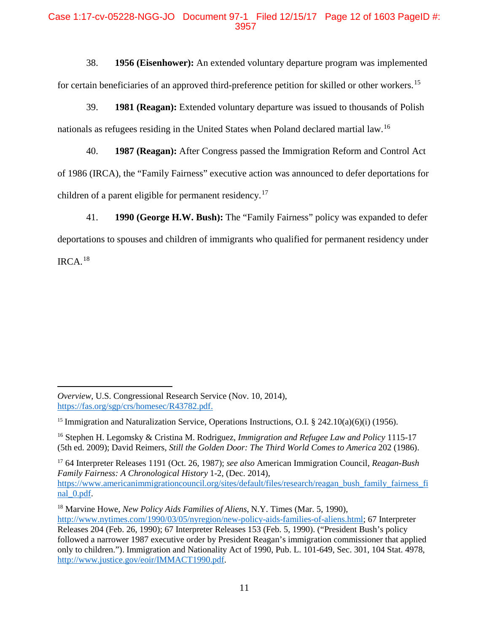## Case 1:17-cv-05228-NGG-JO Document 97-1 Filed 12/15/17 Page 12 of 1603 PageID #: 3957

38. **1956 (Eisenhower):** An extended voluntary departure program was implemented for certain beneficiaries of an approved third-preference petition for skilled or other workers.<sup>[15](#page-12-0)</sup>

39. **1981 (Reagan):** Extended voluntary departure was issued to thousands of Polish nationals as refugees residing in the United States when Poland declared martial law.[16](#page-12-1) 

40. **1987 (Reagan):** After Congress passed the Immigration Reform and Control Act of 1986 (IRCA), the "Family Fairness" executive action was announced to defer deportations for children of a parent eligible for permanent residency.<sup>[17](#page-12-2)</sup>

41. **1990 (George H.W. Bush):** The "Family Fairness" policy was expanded to defer deportations to spouses and children of immigrants who qualified for permanent residency under IRCA. [18](#page-12-3)

l

<span id="page-12-2"></span><sup>17</sup> 64 Interpreter Releases 1191 (Oct. 26, 1987); *see also* American Immigration Council, *Reagan-Bush Family Fairness: A Chronological History* 1-2, (Dec. 2014), [https://www.americanimmigrationcouncil.org/sites/default/files/research/reagan\\_bush\\_family\\_fairness\\_fi](https://www.americanimmigrationcouncil.org/sites/default/files/research/reagan_bush_family_fairness_final_0.pdf) nal 0.pdf.

*Overview*, U.S. Congressional Research Service (Nov. 10, 2014), [https://fas.org/sgp/crs/homesec/R43782.pdf.](https://fas.org/sgp/crs/homesec/R43782.pdf)

<span id="page-12-0"></span><sup>&</sup>lt;sup>15</sup> Immigration and Naturalization Service, Operations Instructions, O.I. § 242.10(a)(6)(i) (1956).

<span id="page-12-1"></span><sup>16</sup> Stephen H. Legomsky & Cristina M. Rodriguez, *Immigration and Refugee Law and Policy* 1115-17 (5th ed. 2009); David Reimers, *Still the Golden Door: The Third World Comes to America* 202 (1986).

<span id="page-12-3"></span><sup>18</sup> Marvine Howe, *New Policy Aids Families of Aliens*, N.Y. Times (Mar. 5, 1990), [http://www.nytimes.com/1990/03/05/nyregion/new-policy-aids-families-of-aliens.html;](http://www.nytimes.com/1990/03/05/nyregion/new-policy-aids-families-of-aliens.html) 67 Interpreter Releases 204 (Feb. 26, 1990); 67 Interpreter Releases 153 (Feb. 5, 1990). ("President Bush's policy followed a narrower 1987 executive order by President Reagan's immigration commissioner that applied only to children."). Immigration and Nationality Act of 1990, Pub. L. 101-649, Sec. 301, 104 Stat. 4978, [http://www.justice.gov/eoir/IMMACT1990.pdf.](http://www.justice.gov/eoir/IMMACT1990.pdf)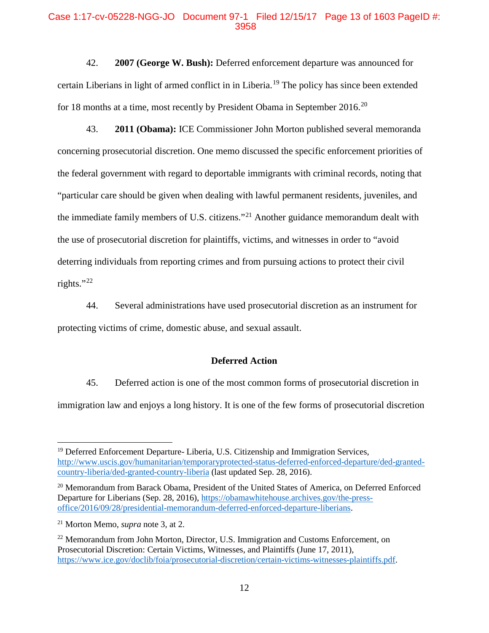#### Case 1:17-cv-05228-NGG-JO Document 97-1 Filed 12/15/17 Page 13 of 1603 PageID #: 3958

42. **2007 (George W. Bush):** Deferred enforcement departure was announced for certain Liberians in light of armed conflict in in Liberia. [19](#page-13-0) The policy has since been extended for 18 months at a time, most recently by President Obama in September [20](#page-13-1)16.<sup>20</sup>

43. **2011 (Obama):** ICE Commissioner John Morton published several memoranda concerning prosecutorial discretion. One memo discussed the specific enforcement priorities of the federal government with regard to deportable immigrants with criminal records, noting that "particular care should be given when dealing with lawful permanent residents, juveniles, and the immediate family members of U.S. citizens."[21](#page-13-2) Another guidance memorandum dealt with the use of prosecutorial discretion for plaintiffs, victims, and witnesses in order to "avoid deterring individuals from reporting crimes and from pursuing actions to protect their civil rights."[22](#page-13-3)

44. Several administrations have used prosecutorial discretion as an instrument for protecting victims of crime, domestic abuse, and sexual assault.

#### **Deferred Action**

45. Deferred action is one of the most common forms of prosecutorial discretion in immigration law and enjoys a long history. It is one of the few forms of prosecutorial discretion

<span id="page-13-0"></span><sup>&</sup>lt;sup>19</sup> Deferred Enforcement Departure- Liberia, U.S. Citizenship and Immigration Services, [http://www.uscis.gov/humanitarian/temporaryprotected-status-deferred-enforced-departure/ded-granted](http://www.uscis.gov/humanitarian/temporaryprotected-status-deferred-enforced-departure/ded-granted-country-liberia/ded-granted-country-liberia)[country-liberia/ded-granted-country-liberia](http://www.uscis.gov/humanitarian/temporaryprotected-status-deferred-enforced-departure/ded-granted-country-liberia/ded-granted-country-liberia) (last updated Sep. 28, 2016).

<span id="page-13-1"></span><sup>&</sup>lt;sup>20</sup> Memorandum from Barack Obama, President of the United States of America, on Deferred Enforced Departure for Liberians (Sep. 28, 2016), [https://obamawhitehouse.archives.gov/the-press](https://obamawhitehouse.archives.gov/the-press-office/2016/09/28/presidential-memorandum-deferred-enforced-departure-liberians)[office/2016/09/28/presidential-memorandum-deferred-enforced-departure-liberians.](https://obamawhitehouse.archives.gov/the-press-office/2016/09/28/presidential-memorandum-deferred-enforced-departure-liberians)

<span id="page-13-2"></span><sup>21</sup> Morton Memo, *supra* note 3, at 2.

<span id="page-13-3"></span><sup>&</sup>lt;sup>22</sup> Memorandum from John Morton, Director, U.S. Immigration and Customs Enforcement, on Prosecutorial Discretion: Certain Victims, Witnesses, and Plaintiffs (June 17, 2011), [https://www.ice.gov/doclib/foia/prosecutorial-discretion/certain-victims-witnesses-plaintiffs.pdf.](https://www.ice.gov/doclib/foia/prosecutorial-discretion/certain-victims-witnesses-plaintiffs.pdf)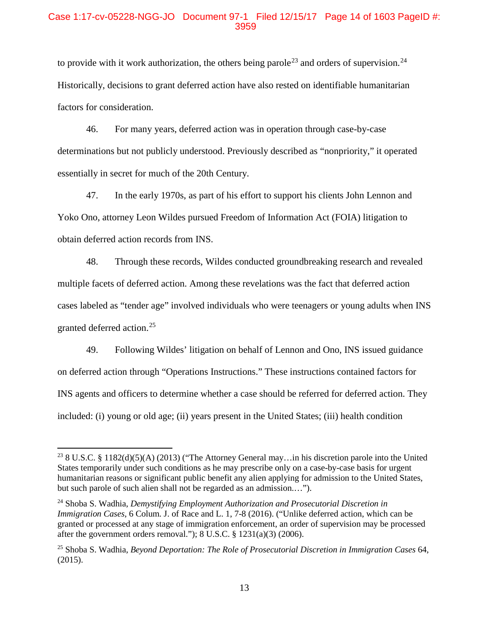#### Case 1:17-cv-05228-NGG-JO Document 97-1 Filed 12/15/17 Page 14 of 1603 PageID #: 3959

to provide with it work authorization, the others being parole<sup>[23](#page-14-0)</sup> and orders of supervision.<sup>[24](#page-14-1)</sup> Historically, decisions to grant deferred action have also rested on identifiable humanitarian factors for consideration.

46. For many years, deferred action was in operation through case-by-case determinations but not publicly understood. Previously described as "nonpriority," it operated essentially in secret for much of the 20th Century.

47. In the early 1970s, as part of his effort to support his clients John Lennon and Yoko Ono, attorney Leon Wildes pursued Freedom of Information Act (FOIA) litigation to obtain deferred action records from INS.

48. Through these records, Wildes conducted groundbreaking research and revealed multiple facets of deferred action. Among these revelations was the fact that deferred action cases labeled as "tender age" involved individuals who were teenagers or young adults when INS granted deferred action.[25](#page-14-2)

49. Following Wildes' litigation on behalf of Lennon and Ono, INS issued guidance on deferred action through "Operations Instructions." These instructions contained factors for INS agents and officers to determine whether a case should be referred for deferred action. They included: (i) young or old age; (ii) years present in the United States; (iii) health condition

<span id="page-14-0"></span><sup>&</sup>lt;sup>23</sup> 8 U.S.C. § 1182(d)(5)(A) (2013) ("The Attorney General may... in his discretion parole into the United States temporarily under such conditions as he may prescribe only on a case-by-case basis for urgent humanitarian reasons or significant public benefit any alien applying for admission to the United States, but such parole of such alien shall not be regarded as an admission.…").

<span id="page-14-1"></span><sup>24</sup> Shoba S. Wadhia, *Demystifying Employment Authorization and Prosecutorial Discretion in Immigration Cases*, 6 Colum. J. of Race and L. 1, 7-8 (2016). ("Unlike deferred action, which can be granted or processed at any stage of immigration enforcement, an order of supervision may be processed after the government orders removal."); 8 U.S.C. § 1231(a)(3) (2006).

<span id="page-14-2"></span><sup>25</sup> Shoba S. Wadhia, *Beyond Deportation: The Role of Prosecutorial Discretion in Immigration Cases* 64, (2015).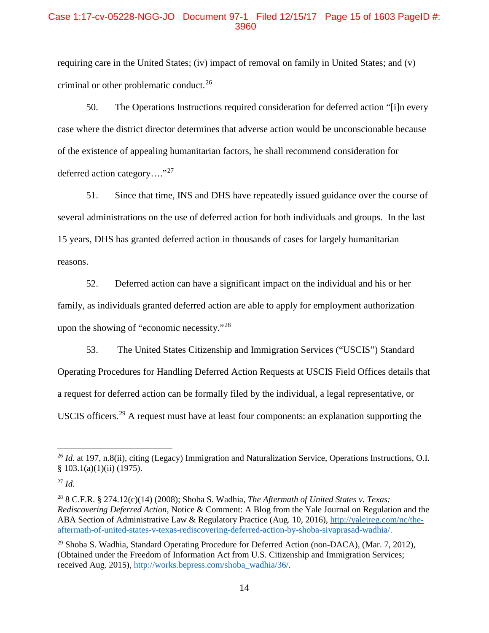## Case 1:17-cv-05228-NGG-JO Document 97-1 Filed 12/15/17 Page 15 of 1603 PageID #: 3960

requiring care in the United States; (iv) impact of removal on family in United States; and (v) criminal or other problematic conduct.<sup>[26](#page-15-0)</sup>

50. The Operations Instructions required consideration for deferred action "[i]n every case where the district director determines that adverse action would be unconscionable because of the existence of appealing humanitarian factors, he shall recommend consideration for deferred action category…."[27](#page-15-1)

51. Since that time, INS and DHS have repeatedly issued guidance over the course of several administrations on the use of deferred action for both individuals and groups. In the last 15 years, DHS has granted deferred action in thousands of cases for largely humanitarian reasons.

52. Deferred action can have a significant impact on the individual and his or her family, as individuals granted deferred action are able to apply for employment authorization upon the showing of "economic necessity."[28](#page-15-2)

53. The United States Citizenship and Immigration Services ("USCIS") Standard Operating Procedures for Handling Deferred Action Requests at USCIS Field Offices details that a request for deferred action can be formally filed by the individual, a legal representative, or USCIS officers.[29](#page-15-3) A request must have at least four components: an explanation supporting the

<span id="page-15-0"></span><sup>&</sup>lt;sup>26</sup> *Id.* at 197, n.8(ii), citing (Legacy) Immigration and Naturalization Service, Operations Instructions, O.I. § 103.1(a)(1)(ii) (1975).

<span id="page-15-1"></span><sup>27</sup> *Id.*

<span id="page-15-2"></span><sup>28</sup> 8 C.F.R. § 274.12(c)(14) (2008); Shoba S. Wadhia, *The Aftermath of United States v. Texas: Rediscovering Deferred Action*, Notice & Comment: A Blog from the Yale Journal on Regulation and the ABA Section of Administrative Law & Regulatory Practice (Aug. 10, 2016), [http://yalejreg.com/nc/the](http://yalejreg.com/nc/the-aftermath-of-united-states-v-texas-rediscovering-deferred-action-by-shoba-sivaprasad-wadhia/)[aftermath-of-united-states-v-texas-rediscovering-deferred-action-by-shoba-sivaprasad-wadhia/.](http://yalejreg.com/nc/the-aftermath-of-united-states-v-texas-rediscovering-deferred-action-by-shoba-sivaprasad-wadhia/)

<span id="page-15-3"></span> $29$  Shoba S. Wadhia, Standard Operating Procedure for Deferred Action (non-DACA), (Mar. 7, 2012), (Obtained under the Freedom of Information Act from U.S. Citizenship and Immigration Services; received Aug. 2015)[, http://works.bepress.com/shoba\\_wadhia/36/.](http://works.bepress.com/shoba_wadhia/36/)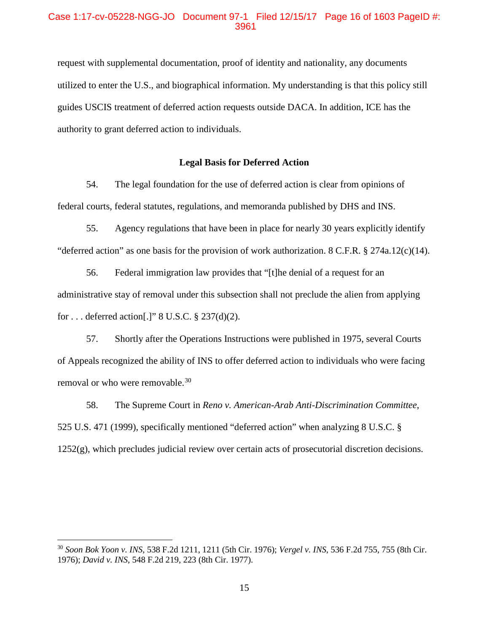#### Case 1:17-cv-05228-NGG-JO Document 97-1 Filed 12/15/17 Page 16 of 1603 PageID #: 3961

request with supplemental documentation, proof of identity and nationality, any documents utilized to enter the U.S., and biographical information. My understanding is that this policy still guides USCIS treatment of deferred action requests outside DACA. In addition, ICE has the authority to grant deferred action to individuals.

#### **Legal Basis for Deferred Action**

54. The legal foundation for the use of deferred action is clear from opinions of federal courts, federal statutes, regulations, and memoranda published by DHS and INS.

55. Agency regulations that have been in place for nearly 30 years explicitly identify "deferred action" as one basis for the provision of work authorization. 8 C.F.R. § 274a.12(c)(14).

56. Federal immigration law provides that "[t]he denial of a request for an administrative stay of removal under this subsection shall not preclude the alien from applying for . . . deferred action[.]" 8 U.S.C. § 237(d)(2).

57. Shortly after the Operations Instructions were published in 1975, several Courts of Appeals recognized the ability of INS to offer deferred action to individuals who were facing removal or who were removable. [30](#page-16-0)

58. The Supreme Court in *Reno v. American-Arab Anti-Discrimination Committee*, 525 U.S. 471 (1999), specifically mentioned "deferred action" when analyzing 8 U.S.C. § 1252(g), which precludes judicial review over certain acts of prosecutorial discretion decisions.

<span id="page-16-0"></span><sup>30</sup> *Soon Bok Yoon v. INS*, 538 F.2d 1211, 1211 (5th Cir. 1976); *Vergel v. INS*, 536 F.2d 755, 755 (8th Cir. 1976); *David v. INS*, 548 F.2d 219, 223 (8th Cir. 1977).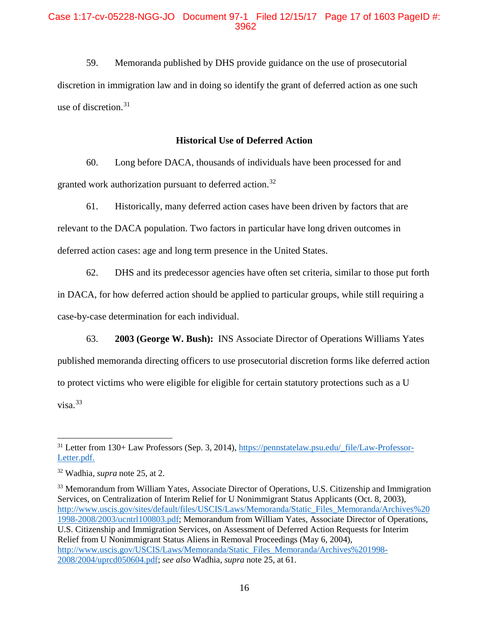#### Case 1:17-cv-05228-NGG-JO Document 97-1 Filed 12/15/17 Page 17 of 1603 PageID #: 3962

59. Memoranda published by DHS provide guidance on the use of prosecutorial discretion in immigration law and in doing so identify the grant of deferred action as one such use of discretion.<sup>[31](#page-17-0)</sup>

#### **Historical Use of Deferred Action**

60. Long before DACA, thousands of individuals have been processed for and granted work authorization pursuant to deferred action.<sup>[32](#page-17-1)</sup>

61. Historically, many deferred action cases have been driven by factors that are relevant to the DACA population. Two factors in particular have long driven outcomes in deferred action cases: age and long term presence in the United States.

62. DHS and its predecessor agencies have often set criteria, similar to those put forth in DACA, for how deferred action should be applied to particular groups, while still requiring a case-by-case determination for each individual.

63. **2003 (George W. Bush):** INS Associate Director of Operations Williams Yates published memoranda directing officers to use prosecutorial discretion forms like deferred action to protect victims who were eligible for eligible for certain statutory protections such as a U  $visa.<sup>33</sup>$  $visa.<sup>33</sup>$  $visa.<sup>33</sup>$ 

<span id="page-17-0"></span><sup>31</sup> Letter from 130+ Law Professors (Sep. 3, 2014), [https://pennstatelaw.psu.edu/\\_file/Law-Professor-](https://pennstatelaw.psu.edu/_file/Law-Professor-Letter.pdf)[Letter.pdf.](https://pennstatelaw.psu.edu/_file/Law-Professor-Letter.pdf)

<span id="page-17-1"></span><sup>32</sup> Wadhia, *supra* note 25, at 2.

<span id="page-17-2"></span><sup>&</sup>lt;sup>33</sup> Memorandum from William Yates, Associate Director of Operations, U.S. Citizenship and Immigration Services, on Centralization of Interim Relief for U Nonimmigrant Status Applicants (Oct. 8, 2003), [http://www.uscis.gov/sites/default/files/USCIS/Laws/Memoranda/Static\\_Files\\_Memoranda/Archives%20](http://www.uscis.gov/sites/default/files/USCIS/Laws/Memoranda/Static_Files_Memoranda/Archives%201998-2008/2003/ucntrl100803.pdf) [1998-2008/2003/ucntrl100803.pdf;](http://www.uscis.gov/sites/default/files/USCIS/Laws/Memoranda/Static_Files_Memoranda/Archives%201998-2008/2003/ucntrl100803.pdf) Memorandum from William Yates, Associate Director of Operations, U.S. Citizenship and Immigration Services, on Assessment of Deferred Action Requests for Interim Relief from U Nonimmigrant Status Aliens in Removal Proceedings (May 6, 2004), [http://www.uscis.gov/USCIS/Laws/Memoranda/Static\\_Files\\_Memoranda/Archives%201998-](http://www.uscis.gov/USCIS/Laws/Memoranda/Static_Files_Memoranda/Archives%201998-2008/2004/uprcd050604.pdf) [2008/2004/uprcd050604.pdf;](http://www.uscis.gov/USCIS/Laws/Memoranda/Static_Files_Memoranda/Archives%201998-2008/2004/uprcd050604.pdf) *see also* Wadhia, *supra* note 25, at 61.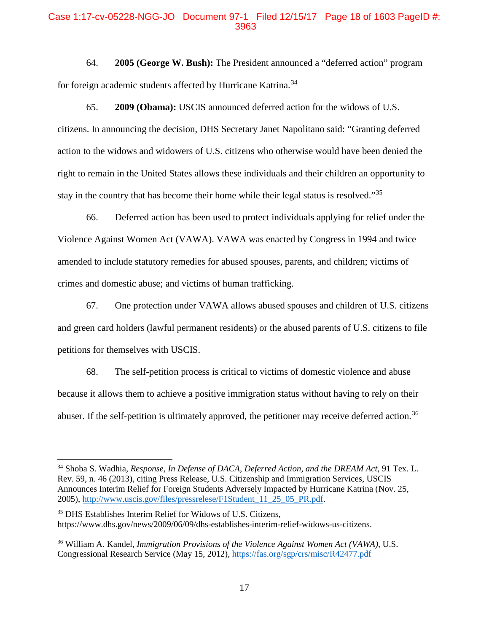#### Case 1:17-cv-05228-NGG-JO Document 97-1 Filed 12/15/17 Page 18 of 1603 PageID #: 3963

64. **2005 (George W. Bush):** The President announced a "deferred action" program for foreign academic students affected by Hurricane Katrina.<sup>34</sup>

65. **2009 (Obama):** USCIS announced deferred action for the widows of U.S. citizens. In announcing the decision, DHS Secretary Janet Napolitano said: "Granting deferred action to the widows and widowers of U.S. citizens who otherwise would have been denied the right to remain in the United States allows these individuals and their children an opportunity to stay in the country that has become their home while their legal status is resolved."<sup>[35](#page-18-1)</sup>

66. Deferred action has been used to protect individuals applying for relief under the Violence Against Women Act (VAWA). VAWA was enacted by Congress in 1994 and twice amended to include statutory remedies for abused spouses, parents, and children; victims of crimes and domestic abuse; and victims of human trafficking.

67. One protection under VAWA allows abused spouses and children of U.S. citizens and green card holders (lawful permanent residents) or the abused parents of U.S. citizens to file petitions for themselves with USCIS.

68. The self-petition process is critical to victims of domestic violence and abuse because it allows them to achieve a positive immigration status without having to rely on their abuser. If the self-petition is ultimately approved, the petitioner may receive deferred action.<sup>[36](#page-18-2)</sup>

<span id="page-18-0"></span><sup>34</sup> Shoba S. Wadhia, *Response, In Defense of DACA, Deferred Action, and the DREAM Act*, 91 Tex. L. Rev. 59, n. 46 (2013), citing Press Release, U.S. Citizenship and Immigration Services, USCIS Announces Interim Relief for Foreign Students Adversely Impacted by Hurricane Katrina (Nov. 25, 2005), [http://www.uscis.gov/files/pressrelese/F1Student\\_11\\_25\\_05\\_PR.pdf.](http://www.uscis.gov/files/pressrelese/F1Student_11_25_05_PR.pdf)

<span id="page-18-1"></span><sup>35</sup> DHS Establishes Interim Relief for Widows of U.S. Citizens, https://www.dhs.gov/news/2009/06/09/dhs-establishes-interim-relief-widows-us-citizens.

<span id="page-18-2"></span><sup>36</sup> William A. Kandel, *Immigration Provisions of the Violence Against Women Act (VAWA)*, U.S. Congressional Research Service (May 15, 2012)[, https://fas.org/sgp/crs/misc/R42477.pdf](https://fas.org/sgp/crs/misc/R42477.pdf)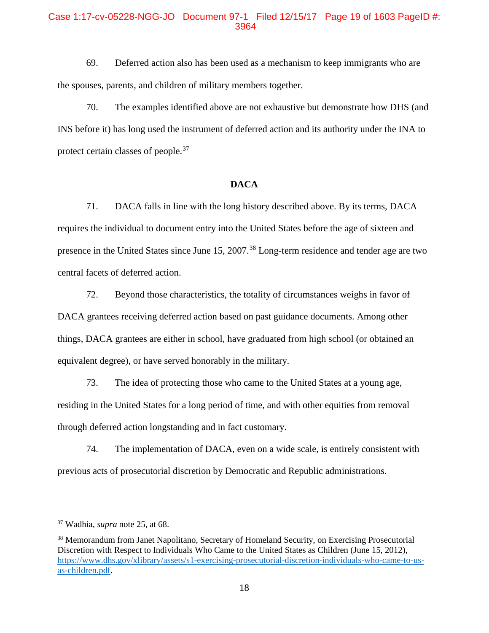#### Case 1:17-cv-05228-NGG-JO Document 97-1 Filed 12/15/17 Page 19 of 1603 PageID #: 3964

69. Deferred action also has been used as a mechanism to keep immigrants who are the spouses, parents, and children of military members together.

70. The examples identified above are not exhaustive but demonstrate how DHS (and INS before it) has long used the instrument of deferred action and its authority under the INA to protect certain classes of people.<sup>[37](#page-19-0)</sup>

#### **DACA**

71. DACA falls in line with the long history described above. By its terms, DACA requires the individual to document entry into the United States before the age of sixteen and presence in the United States since June 15, 2007.<sup>[38](#page-19-1)</sup> Long-term residence and tender age are two central facets of deferred action.

72. Beyond those characteristics, the totality of circumstances weighs in favor of DACA grantees receiving deferred action based on past guidance documents. Among other things, DACA grantees are either in school, have graduated from high school (or obtained an equivalent degree), or have served honorably in the military.

73. The idea of protecting those who came to the United States at a young age, residing in the United States for a long period of time, and with other equities from removal through deferred action longstanding and in fact customary.

74. The implementation of DACA, even on a wide scale, is entirely consistent with previous acts of prosecutorial discretion by Democratic and Republic administrations.

<span id="page-19-0"></span><sup>37</sup> Wadhia, *supra* note 25, at 68.

<span id="page-19-1"></span><sup>&</sup>lt;sup>38</sup> Memorandum from Janet Napolitano, Secretary of Homeland Security, on Exercising Prosecutorial Discretion with Respect to Individuals Who Came to the United States as Children (June 15, 2012), [https://www.dhs.gov/xlibrary/assets/s1-exercising-prosecutorial-discretion-individuals-who-came-to-us](https://www.dhs.gov/xlibrary/assets/s1-exercising-prosecutorial-discretion-individuals-who-came-to-us-as-children.pdf)[as-children.pdf.](https://www.dhs.gov/xlibrary/assets/s1-exercising-prosecutorial-discretion-individuals-who-came-to-us-as-children.pdf)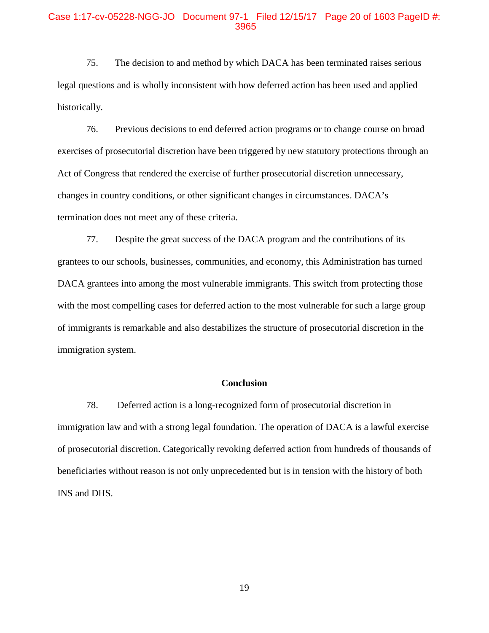#### Case 1:17-cv-05228-NGG-JO Document 97-1 Filed 12/15/17 Page 20 of 1603 PageID #: 3965

75. The decision to and method by which DACA has been terminated raises serious legal questions and is wholly inconsistent with how deferred action has been used and applied historically.

76. Previous decisions to end deferred action programs or to change course on broad exercises of prosecutorial discretion have been triggered by new statutory protections through an Act of Congress that rendered the exercise of further prosecutorial discretion unnecessary, changes in country conditions, or other significant changes in circumstances. DACA's termination does not meet any of these criteria.

77. Despite the great success of the DACA program and the contributions of its grantees to our schools, businesses, communities, and economy, this Administration has turned DACA grantees into among the most vulnerable immigrants. This switch from protecting those with the most compelling cases for deferred action to the most vulnerable for such a large group of immigrants is remarkable and also destabilizes the structure of prosecutorial discretion in the immigration system.

#### **Conclusion**

78. Deferred action is a long-recognized form of prosecutorial discretion in immigration law and with a strong legal foundation. The operation of DACA is a lawful exercise of prosecutorial discretion. Categorically revoking deferred action from hundreds of thousands of beneficiaries without reason is not only unprecedented but is in tension with the history of both INS and DHS.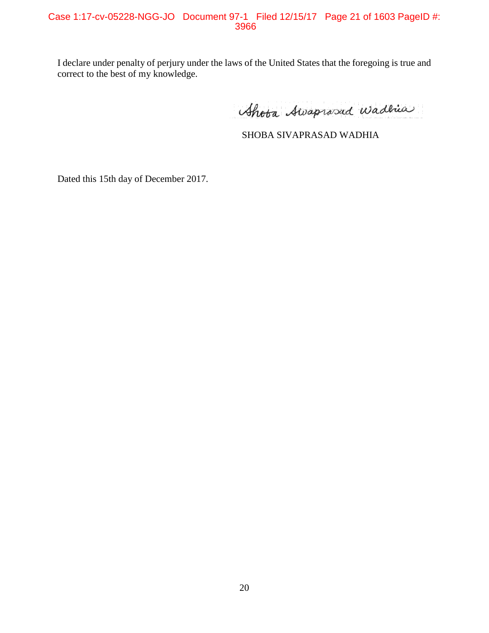I declare under penalty of perjury under the laws of the United States that the foregoing is true and correct to the best of my knowledge.

Shota Awaprosed Wadnes

SHOBA SIVAPRASAD WADHIA

Dated this 15th day of December 2017.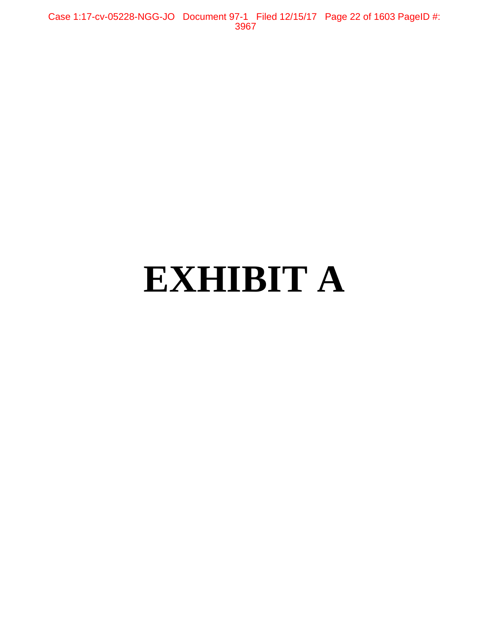Case 1:17-cv-05228-NGG-JO Document 97-1 Filed 12/15/17 Page 22 of 1603 PageID #: 3967

# **EXHIBIT A**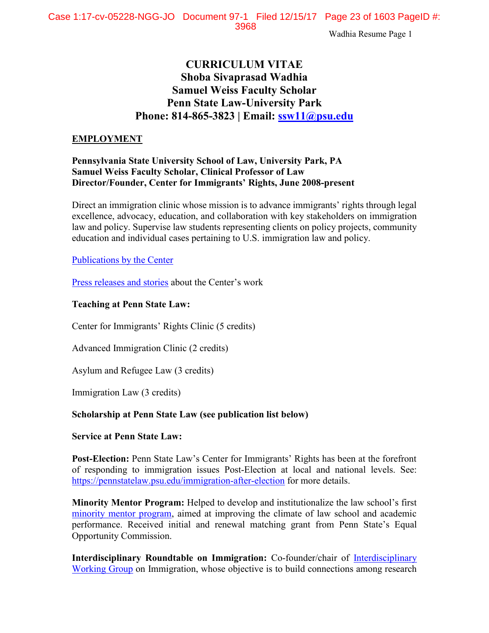# **CURRICULUM VITAE Shoba Sivaprasad Wadhia Samuel Weiss Faculty Scholar Penn State Law-University Park Phone: 814-865-3823 | Email: [ssw11@psu.edu](mailto:ssw11@psu.edu)**

#### **EMPLOYMENT**

## **Pennsylvania State University School of Law, University Park, PA Samuel Weiss Faculty Scholar, Clinical Professor of Law Director/Founder, Center for Immigrants' Rights, June 2008-present**

Direct an immigration clinic whose mission is to advance immigrants' rights through legal excellence, advocacy, education, and collaboration with key stakeholders on immigration law and policy. Supervise law students representing clients on policy projects, community education and individual cases pertaining to U.S. immigration law and policy.

#### [Publications by the Center](http://pennstatelaw.psu.edu/practice-skills/clinics/center-immigrants%E2%80%99-rights-clinic/center-publications)

[Press releases and stories](http://pennstatelaw.psu.edu/practice-skills/clinics/center-immigrants%E2%80%99-rights/news) about the Center's work

#### **Teaching at Penn State Law:**

Center for Immigrants' Rights Clinic (5 credits)

Advanced Immigration Clinic (2 credits)

Asylum and Refugee Law (3 credits)

Immigration Law (3 credits)

## **Scholarship at Penn State Law (see publication list below)**

#### **Service at Penn State Law:**

**Post-Election:** Penn State Law's Center for Immigrants' Rights has been at the forefront of responding to immigration issues Post-Election at local and national levels. See: <https://pennstatelaw.psu.edu/immigration-after-election> for more details.

**Minority Mentor Program:** Helped to develop and institutionalize the law school's first [minority mentor program,](https://pennstatelaw.psu.edu/penn-state-law/student-life/minority-mentor-program) aimed at improving the climate of law school and academic performance. Received initial and renewal matching grant from Penn State's Equal Opportunity Commission.

**Interdisciplinary Roundtable on Immigration:** Co-founder/chair of **Interdisciplinary** [Working Group](http://pennstatelaw.psu.edu/practice-skills/clinics/center-immigrants%E2%80%99-rights-clinic/interdisciplinary-roundtable-immigration) on Immigration, whose objective is to build connections among research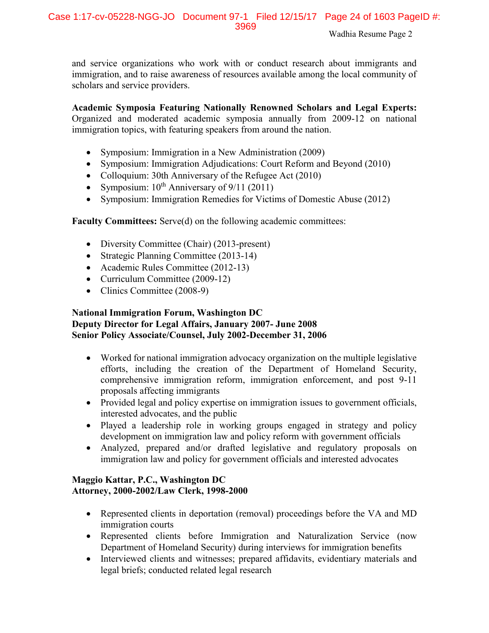and service organizations who work with or conduct research about immigrants and immigration, and to raise awareness of resources available among the local community of scholars and service providers.

**Academic Symposia Featuring Nationally Renowned Scholars and Legal Experts:** Organized and moderated academic symposia annually from 2009-12 on national immigration topics, with featuring speakers from around the nation.

- Symposium: Immigration in a New Administration (2009)
- Symposium: Immigration Adjudications: Court Reform and Beyond (2010)
- Colloquium: 30th Anniversary of the Refugee Act (2010)
- Symposium:  $10^{th}$  Anniversary of 9/11 (2011)
- Symposium: Immigration Remedies for Victims of Domestic Abuse (2012)

**Faculty Committees:** Serve(d) on the following academic committees:

- Diversity Committee (Chair) (2013-present)
- Strategic Planning Committee (2013-14)
- Academic Rules Committee (2012-13)
- Curriculum Committee (2009-12)
- Clinics Committee (2008-9)

## **National Immigration Forum, Washington DC Deputy Director for Legal Affairs, January 2007- June 2008 Senior Policy Associate/Counsel, July 2002-December 31, 2006**

- Worked for national immigration advocacy organization on the multiple legislative efforts, including the creation of the Department of Homeland Security, comprehensive immigration reform, immigration enforcement, and post 9-11 proposals affecting immigrants
- Provided legal and policy expertise on immigration issues to government officials, interested advocates, and the public
- Played a leadership role in working groups engaged in strategy and policy development on immigration law and policy reform with government officials
- Analyzed, prepared and/or drafted legislative and regulatory proposals on immigration law and policy for government officials and interested advocates

## **Maggio Kattar, P.C., Washington DC Attorney, 2000-2002/Law Clerk, 1998-2000**

- Represented clients in deportation (removal) proceedings before the VA and MD immigration courts
- Represented clients before Immigration and Naturalization Service (now Department of Homeland Security) during interviews for immigration benefits
- Interviewed clients and witnesses; prepared affidavits, evidentiary materials and legal briefs; conducted related legal research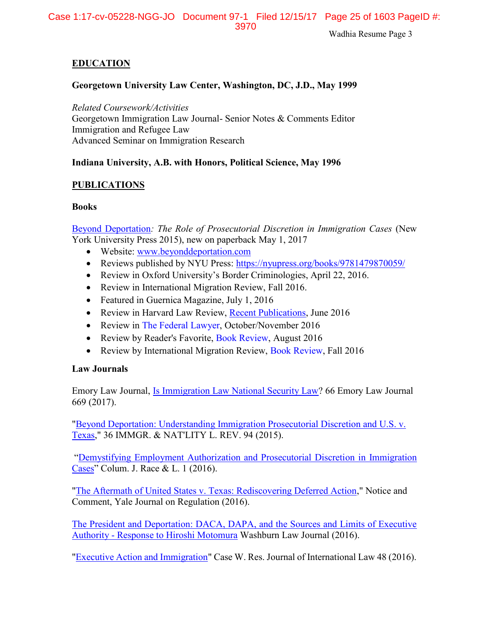Case 1:17-cv-05228-NGG-JO Document 97-1 Filed 12/15/17 Page 25 of 1603 PageID #: 3970

Wadhia Resume Page 3

#### **EDUCATION**

#### **Georgetown University Law Center, Washington, DC, J.D., May 1999**

*Related Coursework/Activities* Georgetown Immigration Law Journal- Senior Notes & Comments Editor Immigration and Refugee Law Advanced Seminar on Immigration Research

#### **Indiana University, A.B. with Honors, Political Science, May 1996**

#### **PUBLICATIONS**

#### **Books**

[Beyond Deportation](http://www.beyonddeportation.com/)*: The Role of Prosecutorial Discretion in Immigration Cases* (New York University Press 2015), new on paperback May 1, 2017

- Website: [www.beyonddeportation.com](http://www.beyonddeportation.com/)
- Reviews published by NYU Press:<https://nyupress.org/books/9781479870059/>
- Review in Oxford University's Border Criminologies, April 22, 2016.
- Review in International Migration Review, Fall 2016.
- Featured in Guernica Magazine, July 1, 2016
- Review in Harvard Law Review, [Recent Publications,](http://harvardlawreview.org/2016/06/recent-publications-june-2016/) June 2016
- Review in [The Federal Lawyer,](media.wix.com/ugd/6e1c09_1dfb82c7a35d47438e62aa9df90b6e44.pdf) October/November 2016
- Review by Reader's Favorite, [Book Review,](https://readersfavorite.com/book-review/beyond-deportation) August 2016
- Review by International Migration Review, [Book Review,](media.wix.com/ugd/6e1c09_134179931a174f63a15b8f78b7c97925.pdf) Fall 2016

#### **Law Journals**

Emory Law Journal, [Is Immigration Law National Security Law?](https://papers.ssrn.com/sol3/papers.cfm?abstract_id=2821905) 66 Emory Law Journal 669 (2017).

["Beyond Deportation: Understanding Immigration Prosecutorial Discretion and U.S. v.](http://papers.ssrn.com/sol3/papers.cfm?abstract_id=2821839)  [Texas,](http://papers.ssrn.com/sol3/papers.cfm?abstract_id=2821839)" 36 IMMGR. & NAT'LITY L. REV. 94 (2015).

"[Demystifying Employment Authorization and Prosecutorial Discretion in Immigration](http://ssrn.com/abstract=2630133)  [Cases](http://ssrn.com/abstract=2630133)" Colum. J. Race & L. 1 (2016).

["The Aftermath of United States v. Texas: Rediscovering Deferred Action,](http://papers.ssrn.com/sol3/papers.cfm?abstract_id=2821158)" Notice and Comment, Yale Journal on Regulation (2016).

[The President and Deportation: DACA, DAPA, and the Sources and Limits of Executive](http://papers.ssrn.com/sol3/papers.cfm?abstract_id=2736341)  Authority - [Response to Hiroshi Motomura](http://papers.ssrn.com/sol3/papers.cfm?abstract_id=2736341) Washburn Law Journal (2016).

["Executive Action and Immigration"](http://papers.ssrn.com/sol3/papers.cfm?abstract_id=2734374) Case W. Res. Journal of International Law 48 (2016).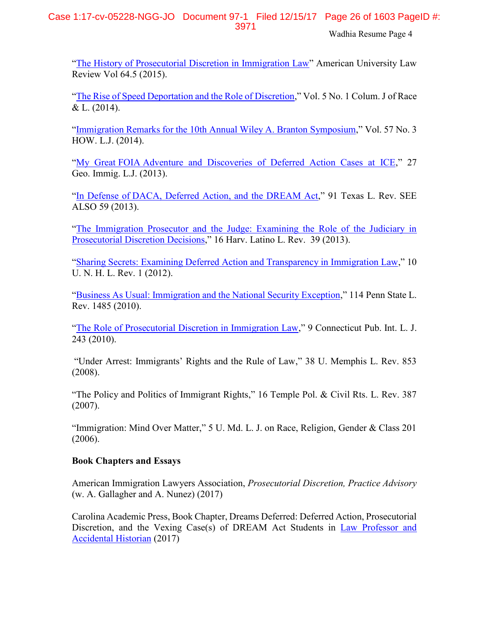## Case 1:17-cv-05228-NGG-JO Document 97-1 Filed 12/15/17 Page 26 of 1603 PageID #: 3971

Wadhia Resume Page 4

"[The History of Prosecutorial Discretion in Immigration Law](http://papers.ssrn.com/sol3/papers.cfm?abstract_id=2605164)" American University Law Review Vol 64.5 (2015).

"[The Rise of Speed Deportation and the Role of Discretion](http://papers.ssrn.com/sol3/papers.cfm?abstract_id=2486821)," Vol. 5 No. 1 Colum. J of Race  $& L. (2014).$ 

"[Immigration Remarks for the](http://papers.ssrn.com/sol3/papers.cfm?abstract_id=2461361) 10th Annual Wiley A. Branton Symposium," Vol. 57 No. 3 HOW. L.J. (2014).

"My Great FOIA [Adventure and Discoveries of Deferred Action Cases at ICE](http://papers.ssrn.com/sol3/papers.cfm?abstract_id=2195758)," 27 Geo. Immig. L.J. (2013).

"In Defense of [DACA, Deferred Action, and the DREAM Act](http://papers.ssrn.com/sol3/papers.cfm?abstract_id=2195735)," 91 Texas L. Rev. SEE ALSO 59 (2013).

"[The Immigration Prosecutor and the Judge: Examining the Role of the Judiciary in](http://papers.ssrn.com/sol3/papers.cfm?abstract_id=2033803)  [Prosecutorial Discretion Decisions](http://papers.ssrn.com/sol3/papers.cfm?abstract_id=2033803)," 16 Harv. Latino L. Rev. 39 (2013).

"[Sharing Secrets: Examining Deferred Action and Transparency in Immigration Law](http://papers.ssrn.com/sol3/papers.cfm?abstract_id=1879443)," 10 U. N. H. L. Rev. 1 (2012).

"[Business As Usual: Immigration and the National Security Exception](http://papers.ssrn.com/sol3/papers.cfm?abstract_id=1658073)," 114 Penn State L. Rev. 1485 (2010).

"[The Role of Prosecutorial Discretion in Immigration Law](http://ssrn.com/abstract=1476341)," 9 Connecticut Pub. Int. L. J. 243 (2010).

["Under Arrest: Immigrants' Rights and the Rule of Law,](http://ssrn.com/abstract=1346581)" 38 U. Memphis L. Rev. 853 (2008).

"[The Policy and Politics of Immigrant Rights](http://ssrn.com/abstract=1346592)," 16 Temple Pol. & Civil Rts. L. Rev. 387 (2007).

"Immigration: Mind Over Matter," 5 U. Md. L. J. on Race, Religion, Gender & Class 201 (2006).

## **Book Chapters and Essays**

American Immigration Lawyers Association, *Prosecutorial Discretion, Practice Advisory* (w. A. Gallagher and A. Nunez) (2017)

Carolina Academic Press, Book Chapter, Dreams Deferred: Deferred Action, Prosecutorial Discretion, and the Vexing Case(s) of DREAM Act Students in Law Professor and [Accidental Historian](www.cap-press.com/pdf/9781611636864.pdf) (2017)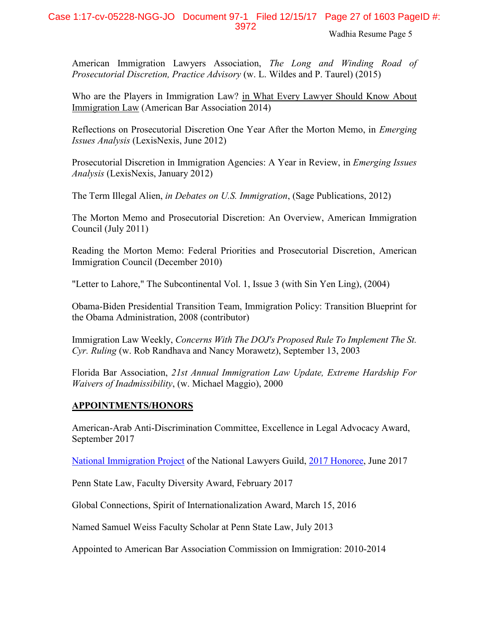## Case 1:17-cv-05228-NGG-JO Document 97-1 Filed 12/15/17 Page 27 of 1603 PageID #: 3972

Wadhia Resume Page 5

American Immigration Lawyers Association, *The Long and Winding Road of Prosecutorial Discretion, Practice Advisory* (w. L. Wildes and P. Taurel) (2015)

Who are the Players in Immigration Law? in What Every Lawyer Should Know About Immigration Law (American Bar Association 2014)

Reflections on Prosecutorial Discretion One Year After the Morton Memo, in *Emerging Issues Analysis* (LexisNexis, June 2012)

Prosecutorial Discretion in Immigration Agencies: A Year in Review, in *Emerging Issues Analysis* (LexisNexis, January 2012)

The Term Illegal Alien, *in Debates on U.S. Immigration*, (Sage Publications, 2012)

[The Morton Memo and Prosecutorial Discretion: An Overview,](http://immigrationpolicy.org/special-reports/morton-memo-and-prosecutorial-discretion-overview-0) American Immigration Council (July 2011)

[Reading the Morton Memo: Federal Priorities and Prosecutorial Discretion,](http://www.immigrationpolicy.org/special-reports/reading-morton-memo-federal-priorities-and-prosecutorial-discretion) American Immigration Council (December 2010)

"Letter to Lahore," The Subcontinental Vol. 1, Issue 3 (with Sin Yen Ling), (2004)

Obama-Biden Presidential Transition Team, Immigration Policy: Transition Blueprint for the Obama Administration, 2008 (contributor)

Immigration Law Weekly, *Concerns With The DOJ's Proposed Rule To Implement The St. Cyr. Ruling* (w. Rob Randhava and Nancy Morawetz), September 13, 2003

Florida Bar Association, *21st Annual Immigration Law Update, Extreme Hardship For Waivers of Inadmissibility*, (w. Michael Maggio), 2000

## **APPOINTMENTS/HONORS**

American-Arab Anti-Discrimination Committee, Excellence in Legal Advocacy Award, September 2017

[National Immigration Project](http://nationalimmigrationproject.org/alerts.html) of the National Lawyers Guild, [2017 Honoree,](nationalimmigrationproject.org/PDFs/development/2017_23Jun_AILA_Program_Book.pdf) June 2017

Penn State Law, Faculty Diversity Award, February 2017

Global Connections, Spirit of Internationalization Award, March 15, 2016

Named Samuel Weiss Faculty Scholar at Penn State Law, July 2013

Appointed to American Bar Association Commission on Immigration: 2010-2014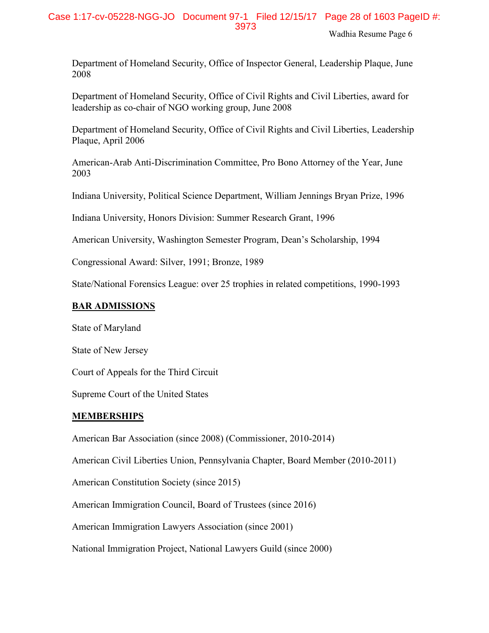Department of Homeland Security, Office of Inspector General, Leadership Plaque, June 2008

Department of Homeland Security, Office of Civil Rights and Civil Liberties, award for leadership as co-chair of NGO working group, June 2008

Department of Homeland Security, Office of Civil Rights and Civil Liberties, Leadership Plaque, April 2006

American-Arab Anti-Discrimination Committee, Pro Bono Attorney of the Year, June 2003

Indiana University, Political Science Department, William Jennings Bryan Prize, 1996

Indiana University, Honors Division: Summer Research Grant, 1996

American University, Washington Semester Program, Dean's Scholarship, 1994

Congressional Award: Silver, 1991; Bronze, 1989

State/National Forensics League: over 25 trophies in related competitions, 1990-1993

## **BAR ADMISSIONS**

State of Maryland

State of New Jersey

Court of Appeals for the Third Circuit

Supreme Court of the United States

## **MEMBERSHIPS**

American Bar Association (since 2008) (Commissioner, 2010-2014)

American Civil Liberties Union, Pennsylvania Chapter, Board Member (2010-2011)

American Constitution Society (since 2015)

American Immigration Council, Board of Trustees (since 2016)

American Immigration Lawyers Association (since 2001)

National Immigration Project, National Lawyers Guild (since 2000)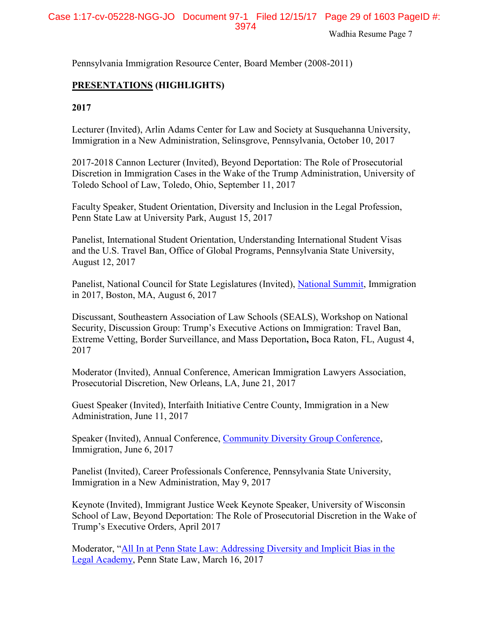Pennsylvania Immigration Resource Center, Board Member (2008-2011)

## **PRESENTATIONS (HIGHLIGHTS)**

**2017**

Lecturer (Invited), Arlin Adams Center for Law and Society at Susquehanna University, Immigration in a New Administration, Selinsgrove, Pennsylvania, October 10, 2017

2017-2018 Cannon Lecturer (Invited), Beyond Deportation: The Role of Prosecutorial Discretion in Immigration Cases in the Wake of the Trump Administration, University of Toledo School of Law, Toledo, Ohio, September 11, 2017

Faculty Speaker, Student Orientation, Diversity and Inclusion in the Legal Profession, Penn State Law at University Park, August 15, 2017

Panelist, International Student Orientation, Understanding International Student Visas and the U.S. Travel Ban, Office of Global Programs, Pennsylvania State University, August 12, 2017

Panelist, National Council for State Legislatures (Invited), [National Summit,](http://www.ncsl.org/meetings-training/legislative-summit-17.aspx) Immigration in 2017, Boston, MA, August 6, 2017

Discussant, Southeastern Association of Law Schools (SEALS), Workshop on National Security, Discussion Group: Trump's Executive Actions on Immigration: Travel Ban, Extreme Vetting, Border Surveillance, and Mass Deportation**,** Boca Raton, FL, August 4, 2017

Moderator (Invited), Annual Conference, American Immigration Lawyers Association, Prosecutorial Discretion, New Orleans, LA, June 21, 2017

Guest Speaker (Invited), Interfaith Initiative Centre County, Immigration in a New Administration, June 11, 2017

Speaker (Invited), Annual Conference, [Community Diversity Group Conference,](http://communitydiversitygroup.squarespace.com/communitydiversityconference) Immigration, June 6, 2017

Panelist (Invited), Career Professionals Conference, Pennsylvania State University, Immigration in a New Administration, May 9, 2017

Keynote (Invited), Immigrant Justice Week Keynote Speaker, University of Wisconsin School of Law, Beyond Deportation: The Role of Prosecutorial Discretion in the Wake of Trump's Executive Orders, April 2017

Moderator, "[All In at Penn State Law: Addressing Diversity and Implicit Bias in the](https://pennstatelaw.psu.edu/events/all-penn-state-law-addressing-diversity-and-implicit-bias-legal-academy)  [Legal Academy,](https://pennstatelaw.psu.edu/events/all-penn-state-law-addressing-diversity-and-implicit-bias-legal-academy) Penn State Law, March 16, 2017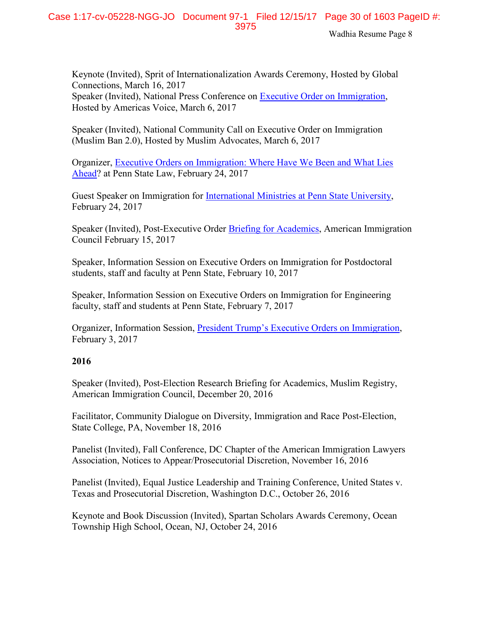Keynote (Invited), Sprit of Internationalization Awards Ceremony, Hosted by Global Connections, March 16, 2017 Speaker (Invited), National Press Conference on [Executive Order on](https://pennstatelaw.psu.edu/sites/default/files/AVEF%20Press%20Release%20on%20Immigration%20EO.pdf) Immigration, Hosted by Americas Voice, March 6, 2017

Speaker (Invited), National Community Call on Executive Order on Immigration (Muslim Ban 2.0), Hosted by Muslim Advocates, March 6, 2017

Organizer, [Executive Orders on Immigration: Where Have We Been and What Lies](https://pennstatelaw.psu.edu/events/executive-orders-immigration-where-have-we-been-and-what-lies-ahead)  [Ahead?](https://pennstatelaw.psu.edu/events/executive-orders-immigration-where-have-we-been-and-what-lies-ahead) at Penn State Law, February 24, 2017

Guest Speaker on Immigration for [International Ministries at Penn State University,](http://www.impennstate.org/) February 24, 2017

Speaker (Invited), Post-Executive Order [Briefing for Academics,](https://www.americanimmigrationcouncil.org/sites/default/files/research_briefing_on_the_new_immigration_executive_orders_02.16.17.mp3) American Immigration Council February 15, 2017

Speaker, Information Session on Executive Orders on Immigration for Postdoctoral students, staff and faculty at Penn State, February 10, 2017

Speaker, Information Session on Executive Orders on Immigration for Engineering faculty, staff and students at Penn State, February 7, 2017

Organizer, Information Session, President Trump's Exec[utive Orders on Immigration,](http://mediasite.dsl.psu.edu/mediasite/Play/4d53e105ae7048588618d392b22cde001d) February 3, 2017

## **2016**

Speaker (Invited), Post-Election Research Briefing for Academics, Muslim Registry, American Immigration Council, December 20, 2016

Facilitator, Community Dialogue on Diversity, Immigration and Race Post-Election, State College, PA, November 18, 2016

Panelist (Invited), Fall Conference, DC Chapter of the American Immigration Lawyers Association, Notices to Appear/Prosecutorial Discretion, November 16, 2016

Panelist (Invited), Equal Justice Leadership and Training Conference, United States v. Texas and Prosecutorial Discretion, Washington D.C., October 26, 2016

Keynote and Book Discussion (Invited), Spartan Scholars Awards Ceremony, Ocean Township High School, Ocean, NJ, October 24, 2016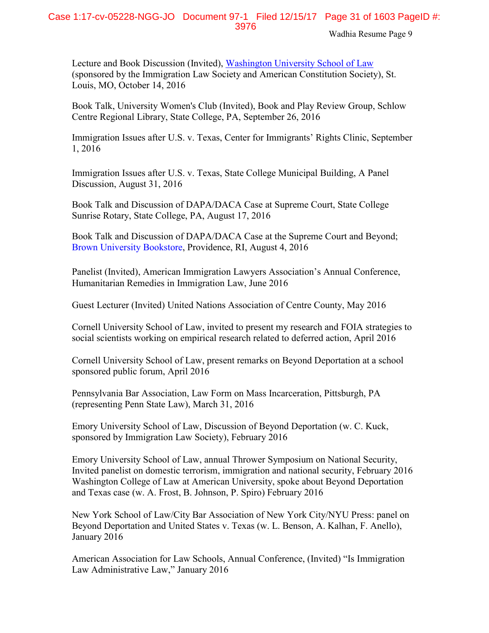Lecture and Book Discussion (Invited), [Washington University School of Law](media.wix.com/ugd/6e1c09_8fb5bdace2d344588fcd4e2d6b040f4c.pdf) (sponsored by the Immigration Law Society and American Constitution Society), St. Louis, MO, October 14, 2016

Book Talk, University Women's Club (Invited), Book and Play Review Group, Schlow Centre Regional Library, State College, PA, September 26, 2016

Immigration Issues after U.S. v. Texas, Center for Immigrants' Rights Clinic, September 1, 2016

Immigration Issues after U.S. v. Texas, State College Municipal Building, A Panel Discussion, August 31, 2016

Book Talk and Discussion of DAPA/DACA Case at Supreme Court, State College Sunrise Rotary, State College, PA, August 17, 2016

Book Talk and Discussion of DAPA/DACA Case at the Supreme Court and Beyond; [Brown University Bookstore,](media.wix.com/ugd/6e1c09_86d8bf9d8d764dfeae3d7e36e1e8ff46.pdf) Providence, RI, August 4, 2016

Panelist (Invited), American Immigration Lawyers Association's Annual Conference, Humanitarian Remedies in Immigration Law, June 2016

Guest Lecturer (Invited) United Nations Association of Centre County, May 2016

Cornell University School of Law, invited to present my research and FOIA strategies to social scientists working on empirical research related to deferred action, April 2016

Cornell University School of Law, present remarks on Beyond Deportation at a school sponsored public forum, April 2016

Pennsylvania Bar Association, Law Form on Mass Incarceration, Pittsburgh, PA (representing Penn State Law), March 31, 2016

Emory University School of Law, Discussion of Beyond Deportation (w. C. Kuck, sponsored by Immigration Law Society), February 2016

Emory University School of Law, annual Thrower Symposium on National Security, Invited panelist on domestic terrorism, immigration and national security, February 2016 Washington College of Law at American University, spoke about Beyond Deportation and Texas case (w. A. Frost, B. Johnson, P. Spiro) February 2016

New York School of Law/City Bar Association of New York City/NYU Press: panel on Beyond Deportation and United States v. Texas (w. L. Benson, A. Kalhan, F. Anello), January 2016

American Association for Law Schools, Annual Conference, (Invited) "Is Immigration Law Administrative Law," January 2016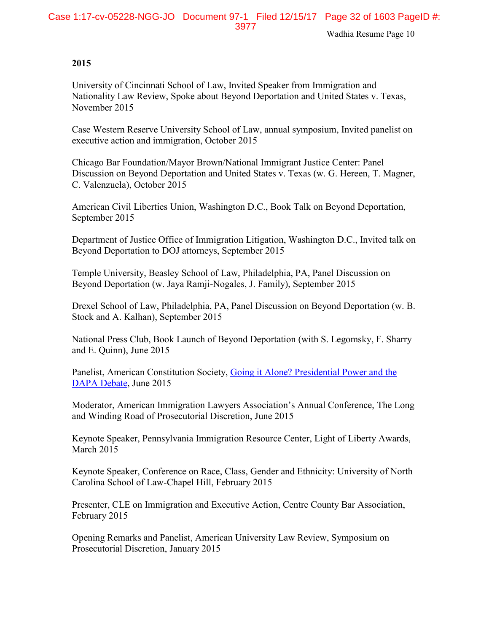#### **2015**

University of Cincinnati School of Law, Invited Speaker from Immigration and Nationality Law Review, Spoke about Beyond Deportation and United States v. Texas, November 2015

Case Western Reserve University School of Law, annual symposium, Invited panelist on executive action and immigration, October 2015

Chicago Bar Foundation/Mayor Brown/National Immigrant Justice Center: Panel Discussion on Beyond Deportation and United States v. Texas (w. G. Hereen, T. Magner, C. Valenzuela), October 2015

American Civil Liberties Union, Washington D.C., Book Talk on Beyond Deportation, September 2015

Department of Justice Office of Immigration Litigation, Washington D.C., Invited talk on Beyond Deportation to DOJ attorneys, September 2015

[Temple University, Beasley](media.wix.com/ugd/6e1c09_b9d8ea0f2c984976864b5fcd31cc0959.pdf) School of Law, Philadelphia, PA, Panel Discussion on Beyond Deportation (w. Jaya Ramji-Nogales, J. Family), September 2015

[Drexel School of Law,](media.wix.com/ugd/6e1c09_881f2ae9fd024c7e91d332e45d25cebe.pdf) Philadelphia, PA, Panel Discussion on Beyond Deportation (w. B. Stock and A. Kalhan), September 2015

National Press Club, Book Launch of Beyond Deportation (with S. Legomsky, F. Sharry and E. Quinn), June 2015

Panelist, American Constitution Society, [Going it Alone? Presidential Power and the](https://www.acslaw.org/news/video/going-it-alone-presidential-power-and-the-dapa-debate)  [DAPA Debate,](https://www.acslaw.org/news/video/going-it-alone-presidential-power-and-the-dapa-debate) June 2015

Moderator, American Immigration Lawyers Association's Annual Conference, The Long and Winding Road of Prosecutorial Discretion, June 2015

Keynote Speaker, Pennsylvania Immigration Resource Center, Light of Liberty Awards, March 2015

Keynote Speaker, Conference on Race, Class, Gender and Ethnicity: University of North Carolina School of Law-Chapel Hill, February 2015

Presenter, CLE on Immigration and Executive Action, Centre County Bar Association, February 2015

Opening Remarks and Panelist, American University Law Review, Symposium on Prosecutorial Discretion, January 2015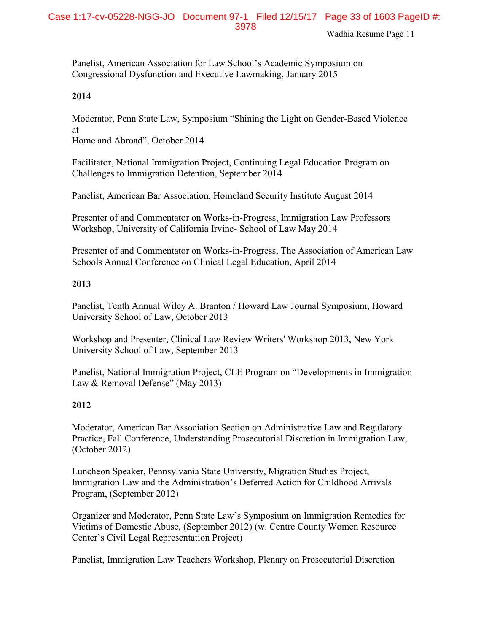Panelist, American Association for Law School's Academic Symposium on Congressional Dysfunction and Executive Lawmaking, January 2015

#### **2014**

Moderator, Penn State Law, Symposium "Shining the Light on Gender-Based Violence at

Home and Abroad", October 2014

Facilitator, National Immigration Project, Continuing Legal Education Program on Challenges to Immigration Detention, September 2014

Panelist, American Bar Association, Homeland Security Institute August 2014

Presenter of and Commentator on Works-in-Progress, Immigration Law Professors Workshop, University of California Irvine- School of Law May 2014

Presenter of and Commentator on Works-in-Progress, The Association of American Law Schools Annual Conference on Clinical Legal Education, April 2014

## **2013**

Panelist, Tenth Annual Wiley A. Branton / Howard Law Journal Symposium, Howard University School of Law, October 2013

Workshop and Presenter, Clinical Law Review Writers' Workshop 2013, New York University School of Law, September 2013

Panelist, National Immigration Project, CLE Program on "Developments in Immigration Law & Removal Defense" (May 2013)

## **2012**

Moderator, American Bar Association Section on Administrative Law and Regulatory Practice, Fall Conference, Understanding Prosecutorial Discretion in Immigration Law, (October 2012)

Luncheon Speaker, Pennsylvania State University, Migration Studies Project, Immigration Law and the Administration's Deferred Action for Childhood Arrivals Program, (September 2012)

Organizer and Moderator, Penn State Law's Symposium on Immigration Remedies for Victims of Domestic Abuse, (September 2012) (w. Centre County Women Resource Center's Civil Legal Representation Project)

Panelist, Immigration Law Teachers Workshop, Plenary on Prosecutorial Discretion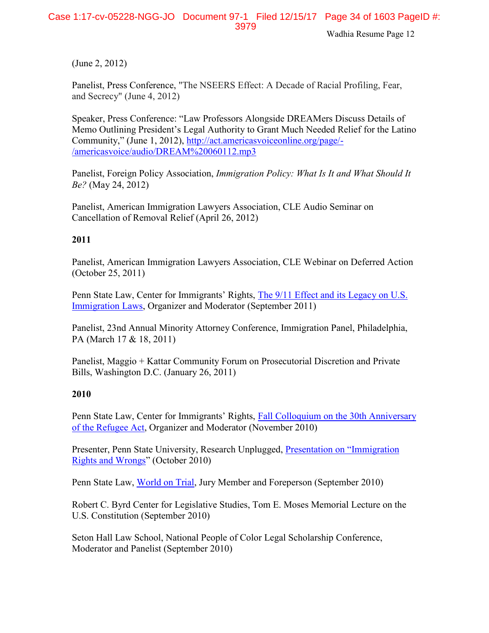(June 2, 2012)

Panelist, Press Conference, "The NSEERS Effect: A Decade of Racial Profiling, Fear, and Secrecy" (June 4, 2012)

Speaker, Press Conference: "Law Professors Alongside DREAMers Discuss Details of Memo Outlining President's Legal Authority to Grant Much Needed Relief for the Latino Community," (June 1, 2012), [http://act.americasvoiceonline.org/page/-](http://act.americasvoiceonline.org/page/-/americasvoice/audio/DREAM%20060112.mp3) [/americasvoice/audio/DREAM%20060112.mp3](http://act.americasvoiceonline.org/page/-/americasvoice/audio/DREAM%20060112.mp3)

Panelist, Foreign Policy Association, *Immigration Policy: What Is It and What Should It Be?* (May 24, 2012)

Panelist, American Immigration Lawyers Association, CLE Audio Seminar on Cancellation of Removal Relief (April 26, 2012)

## **2011**

Panelist, American Immigration Lawyers Association, CLE Webinar on Deferred Action (October 25, 2011)

Penn State Law, Center for Immigrants' Rights, [The 9/11 Effect and its Legacy on U.S.](https://law.psu.edu/news/penn-state-law-center-immigrants%E2%80%99-rights-plays-key-role-key-post-911-policy-shift)  [Immigration Laws,](https://law.psu.edu/news/penn-state-law-center-immigrants%E2%80%99-rights-plays-key-role-key-post-911-policy-shift) Organizer and Moderator (September 2011)

Panelist, 23nd Annual Minority Attorney Conference, Immigration Panel, Philadelphia, PA (March 17 & 18, 2011)

Panelist, Maggio + Kattar Community Forum on Prosecutorial Discretion and Private Bills, Washington D.C. (January 26, 2011)

## **2010**

Penn State Law, Center for Immigrants' Rights, [Fall Colloquium on the 30th Anniversary](https://law.psu.edu/news/refugee_law_colloquium)  [of the Refugee Act,](https://law.psu.edu/news/refugee_law_colloquium) Organizer and Moderator (November 2010)

Presenter, Penn State University, Research Unplugged, [Presentation on "Immigration](http://www.rps.psu.edu/unplugged/fall10/october27.html)  [Rights and Wrongs](http://www.rps.psu.edu/unplugged/fall10/october27.html)" (October 2010)

Penn State Law, [World on Trial,](http://worldontrial.psu.edu/) Jury Member and Foreperson (September 2010)

Robert C. Byrd Center for Legislative Studies, Tom E. Moses Memorial Lecture on the U.S. Constitution (September 2010)

Seton Hall Law School, National People of Color Legal Scholarship Conference, Moderator and Panelist (September 2010)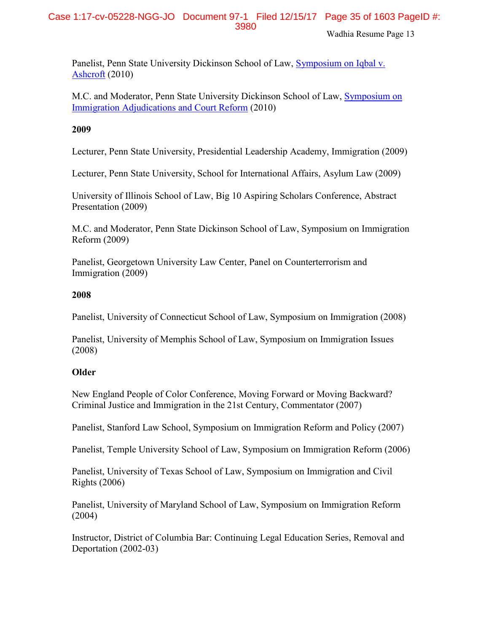Panelist, Penn State University Dickinson School of Law, [Symposium on Iqbal v.](https://law.psu.edu/news/iqbal)  [Ashcroft](https://law.psu.edu/news/iqbal) (2010)

M.C. and Moderator, Penn State University Dickinson School of Law, [Symposium on](https://law.psu.edu/news/penn-state-law-present-immigration-adjudications-court-reform-beyond)  [Immigration Adjudications and Court Reform](https://law.psu.edu/news/penn-state-law-present-immigration-adjudications-court-reform-beyond) (2010)

## **2009**

Lecturer, Penn State University, Presidential Leadership Academy, Immigration (2009)

Lecturer, Penn State University, School for International Affairs, Asylum Law (2009)

University of Illinois School of Law, Big 10 Aspiring Scholars Conference, Abstract Presentation (2009)

M.C. and Moderator, Penn State Dickinson School of Law, Symposium on Immigration Reform (2009)

Panelist, Georgetown University Law Center, Panel on Counterterrorism and Immigration (2009)

## **2008**

Panelist, University of Connecticut School of Law, Symposium on Immigration (2008)

Panelist, University of Memphis School of Law, Symposium on Immigration Issues (2008)

## **Older**

New England People of Color Conference, Moving Forward or Moving Backward? Criminal Justice and Immigration in the 21st Century, Commentator (2007)

Panelist, Stanford Law School, Symposium on Immigration Reform and Policy (2007)

Panelist, Temple University School of Law, Symposium on Immigration Reform (2006)

Panelist, University of Texas School of Law, Symposium on Immigration and Civil Rights (2006)

Panelist, University of Maryland School of Law, Symposium on Immigration Reform (2004)

Instructor, District of Columbia Bar: Continuing Legal Education Series, Removal and Deportation (2002-03)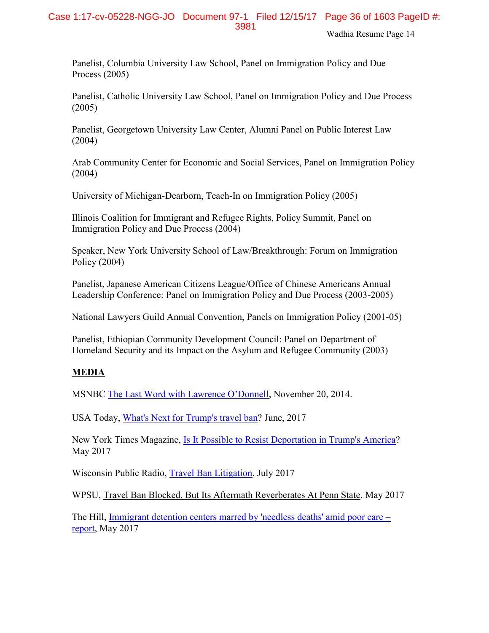Panelist, Columbia University Law School, Panel on Immigration Policy and Due Process (2005)

Panelist, Catholic University Law School, Panel on Immigration Policy and Due Process (2005)

Panelist, Georgetown University Law Center, Alumni Panel on Public Interest Law (2004)

Arab Community Center for Economic and Social Services, Panel on Immigration Policy (2004)

University of Michigan-Dearborn, Teach-In on Immigration Policy (2005)

Illinois Coalition for Immigrant and Refugee Rights, Policy Summit, Panel on Immigration Policy and Due Process (2004)

Speaker, New York University School of Law/Breakthrough: Forum on Immigration Policy (2004)

Panelist, Japanese American Citizens League/Office of Chinese Americans Annual Leadership Conference: Panel on Immigration Policy and Due Process (2003-2005)

National Lawyers Guild Annual Convention, Panels on Immigration Policy (2001-05)

Panelist, Ethiopian Community Development Council: Panel on Department of Homeland Security and its Impact on the Asylum and Refugee Community (2003)

## **MEDIA**

MSNBC [The Last Word with Lawrence O'Donnell](http://www.msnbc.com/the-last-word/watch/obama--we-are-a-nation-of-immigrants-361603139749), November 20, 2014.

USA Today, [What's Next for Trump's travel ban?](https://www.usatoday.com/story/news/world/2017/06/27/whats-next-trumps-travel-ban/431693001/) June, 2017

New York Times Magazine, [Is It Possible to Resist Deportation in Trump's America?](https://www.nytimes.com/2017/05/23/magazine/is-it-possible-to-resist-deportation-in-trumps-america.html) May 2017

Wisconsin Public Radio, [Travel Ban Litigation,](https://www.wpr.org/supreme-court-exempts-grandparents-travel-ban-refugees-still-denied-access) July 2017

WPSU, Travel Ban Blocked, But Its Aftermath Reverberates At Penn State, May 2017

The Hill, [Immigrant detention centers marred by 'needless deaths' amid poor care](http://thehill.com/blogs/pundits-blog/crime/334076-the-cruel-but-usual-conditions-inside-two-georgia-immigration) – [report,](http://thehill.com/blogs/pundits-blog/crime/334076-the-cruel-but-usual-conditions-inside-two-georgia-immigration) May 2017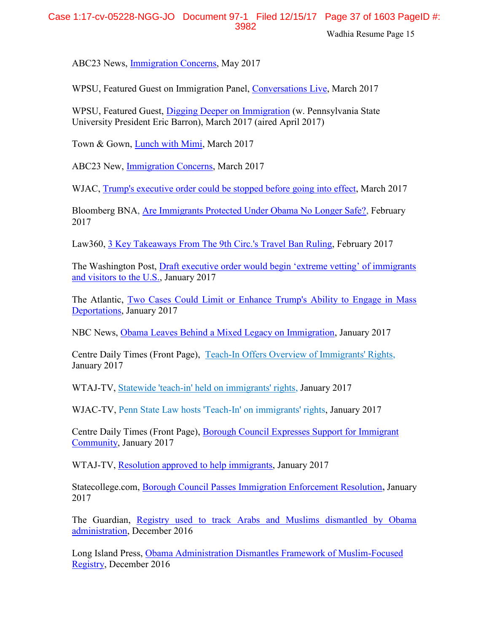ABC23 News, [Immigration Concerns,](http://www.abc23.com/News/NewsDetails.asp?NewsID=22772) May 2017

WPSU, Featured Guest on Immigration Panel, [Conversations Live,](http://wpsu.psu.edu/tv/programs/conversationslive/immigration/) March 2017

WPSU, Featured Guest, [Digging Deeper on Immigration](http://news.psu.edu/story/458025/2017/03/27/arts-and-entertainment/barron-welcome-immigration-law-expert-during-next) (w. Pennsylvania State University President Eric Barron), March 2017 (aired April 2017)

Town & Gown, [Lunch with Mimi,](http://www.statecollege.com/news/5-questions/lunch-with-mimi-shoba-sivaprasad-wadhia,1471331/) March 2017

ABC23 New, [Immigration Concerns,](http://www.abc23.com/News/NewsDetails.asp?NewsID=22428) March 2017

WJAC, [Trump's executive order could be stopped before going](http://wjactv.com/news/local/trumps-executive-order-could-be-stopped-before-going-into-effect) into effect, March 2017

Bloomberg BNA, [Are Immigrants Protected Under Obama No Longer Safe?,](https://www.bna.com/immigrants-protected-obama-n57982083900/) February 2017

Law360, [3 Key Takeaways From The 9th Circ.'s Travel Ban Ruling,](https://www.law360.com/articles/890848/3-key-takeaways-from-the-9th-circ-s-travel-ban-ruling) February 2017

The Washington Post, [Draft executive order would begin 'extreme vetting' of immigrants](https://www.washingtonpost.com/world/national-security/draft-executive-order-would-begin-extreme-vetting-of-immigrants-and-visitors-to-the-us/2017/01/25/17a27424-e328-11e6-a547-5fb9411d332c_story.html?utm_term=.6c2f67ead8ad)  [and visitors to the U.S.,](https://www.washingtonpost.com/world/national-security/draft-executive-order-would-begin-extreme-vetting-of-immigrants-and-visitors-to-the-us/2017/01/25/17a27424-e328-11e6-a547-5fb9411d332c_story.html?utm_term=.6c2f67ead8ad) January 2017

The Atlantic, [Two Cases Could Limit or Enhance Trump's Ability to Engage in Mass](https://www.theatlantic.com/politics/archive/2017/01/two-cases-could-limit-or-enhance-trumps-ability-to-engage-in-mass-deportations/513407/)  [Deportations,](https://www.theatlantic.com/politics/archive/2017/01/two-cases-could-limit-or-enhance-trumps-ability-to-engage-in-mass-deportations/513407/) January 2017

NBC News, [Obama Leaves Behind a Mixed Legacy on Immigration,](http://www.nbcnews.com/storyline/president-obama-the-legacy/obama-leaves-behind-mixed-legacy-immigration-n703656) January 2017

Centre Daily Times (Front Page), [Teach-In Offers Overview of Immigrants' Rights,](http://www.centredaily.com/news/local/education/penn-state/article126289289.html) January 2017

WTAJ-TV, [Statewide 'teach-in' held on immigrants' rights,](http://www.wearecentralpa.com/news/statewide-teach-in-held-on-immigrants-rights/640119338) January 2017

WJAC-TV, Penn State Law hosts 'Teach-In' on immigrants' rights, January 2017

Centre Daily Times (Front Page), [Borough Council Expresses Support for Immigrant](http://www.centredaily.com/news/local/community/state-college/article125557729.html)  [Community,](http://www.centredaily.com/news/local/community/state-college/article125557729.html) January 2017

WTAJ-TV, [Resolution approved to help immigrants,](http://www.wearecentralpa.com/news/resolution-approved-to-help-immigrants/637914525) January 2017

Statecollege.com, [Borough Council Passes Immigration Enforcement Resolution](http://www.statecollege.com/news/local-news/borough-council-passes-immigration-enforcement-resolution,1470680/)**,** January 2017

The Guardian, Registry used to track Arabs and Muslims dismantled by Obama administration, December 2016

Long Island Press, [Obama Administration Dismantles Framework of Muslim-Focused](https://www.longislandpress.com/2016/12/22/obama-administration-dismantles-framework-of-muslim-focused-registry/)  [Registry,](https://www.longislandpress.com/2016/12/22/obama-administration-dismantles-framework-of-muslim-focused-registry/) December 2016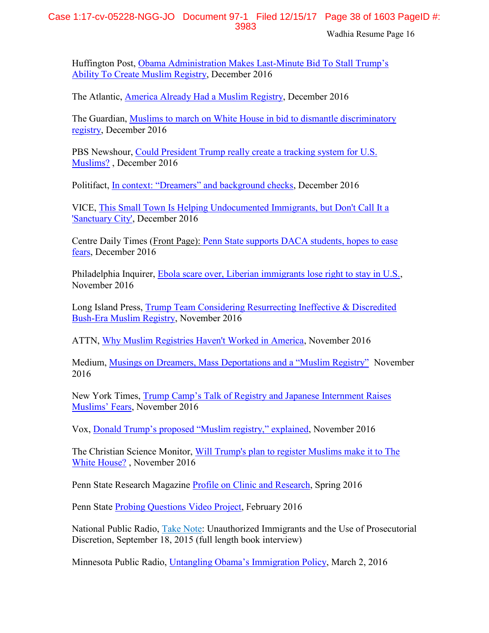## Case 1:17-cv-05228-NGG-JO Document 97-1 Filed 12/15/17 Page 38 of 1603 PageID #: 3983

Wadhia Resume Page 16

Huffington Post, [Obama Administration Makes Last-](http://www.huffingtonpost.com/entry/obama-rescinds-nseers-trump-registry_us_585bf2b7e4b0d9a594574d6b)Minute Bid To Stall Trump's [Ability To Create Muslim Registry,](http://www.huffingtonpost.com/entry/obama-rescinds-nseers-trump-registry_us_585bf2b7e4b0d9a594574d6b) December 2016

The Atlantic, [America Already Had a Muslim Registry,](https://www.theatlantic.com/technology/archive/2016/12/america-already-had-a-muslim-registry/511214/) December 2016

The Guardian, Muslims to [march on White House in bid to dismantle discriminatory](https://www.theguardian.com/us-news/2016/dec/12/american-muslims-march-white-house-nseers)  [registry,](https://www.theguardian.com/us-news/2016/dec/12/american-muslims-march-white-house-nseers) December 2016

PBS Newshour, [Could President Trump really create a tracking system for U.S.](http://www.pbs.org/newshour/updates/president-trump-really-create-tracking-system-u-s-muslims/)  [Muslims?](http://www.pbs.org/newshour/updates/president-trump-really-create-tracking-system-u-s-muslims/) , December 2016

Politifact, [In context: "Dreamers" and background checks](http://www.politifact.com/truth-o-meter/article/2016/dec/12/context-dreamers-and-background-checks/), December 2016

VICE, [This Small Town Is Helping Undocumented Immigrants, but Don't Call It a](https://www.vice.com/en_us/article/sanctuary-cities-complicated-politics-small-towns)  ['Sanctuary City',](https://www.vice.com/en_us/article/sanctuary-cities-complicated-politics-small-towns) December 2016

Centre Daily Times (Front Page): [Penn State supports DACA students, hopes to ease](http://www.centredaily.com/news/local/education/penn-state/article118616648.html)  [fears,](http://www.centredaily.com/news/local/education/penn-state/article118616648.html) December 2016

Philadelphia Inquirer, [Ebola scare over, Liberian immigrants lose right to stay in U.S.,](http://www.philly.com/philly/news/20161128_Ebola_scare_over__Liberian_immigrants_lose_right_to_stay_in_U_S_.html) November 2016

Long Island Press, [Trump Team Considering Resurrecting Ineffective & Discredited](https://www.longislandpress.com/2016/11/26/trump-team-considering-resurrecting-ineffective-discredited-bush-era-muslim-registry/)  [Bush-Era Muslim Registry, November 2016](https://www.longislandpress.com/2016/11/26/trump-team-considering-resurrecting-ineffective-discredited-bush-era-muslim-registry/)

ATTN, [Why Muslim Registries Haven't Worked in America,](http://www.attn.com/stories/13052/why-muslim-registries-havent-worked-america) November 2016

Medium, [Musings on Dreamers, Mass Deportations and a "Muslim Registry"](https://medium.com/@shobawadhia/musings-on-dreamers-mass-deportations-and-a-muslim-registry-78dc37e44527#.oo73vjr9h) November 2016

New York Times, [Trump Camp's Talk of Registry and Japanese Internment Raises](http://www.nytimes.com/2016/11/18/us/politics/japanese-internment-muslim-registry.html?_r=2)  [Muslims' Fears](http://www.nytimes.com/2016/11/18/us/politics/japanese-internment-muslim-registry.html?_r=2), November 2016

Vox, [Donald Trump's proposed "Muslim registry," explained](http://www.vox.com/policy-and-politics/2016/11/16/13649764/trump-muslim-register-database), November 2016

The Christian Science Monitor, [Will Trump's plan to register Muslims make it to The](http://www.csmonitor.com/USA/2016/1120/Will-Trump-s-plan-to-register-Muslims-make-it-to-The-White-House)  [White House?](http://www.csmonitor.com/USA/2016/1120/Will-Trump-s-plan-to-register-Muslims-make-it-to-The-White-House) , November 2016

Penn State Research Magazine [Profile on Clinic and Research,](https://issuu.com/exn119/docs/rps_spring2016?e=9518541/35492332) Spring 2016

Penn State [Probing Questions Video Project,](http://news.psu.edu/video/391823/2016/02/10/research/probing-question-video-it-legal-or-practical-bar-immigrants-based) February 2016

National Public Radio, Take Note: [Unauthorized Immigrants and the Use of Prosecutorial](http://radio.wpsu.org/post/take-note-unauthorized-immigrants-and-use-prosecutorial-discretion)  [Discretion,](http://radio.wpsu.org/post/take-note-unauthorized-immigrants-and-use-prosecutorial-discretion) September 18, 2015 (full length book interview)

Minnesota Public Radio, [Untangling Obama's Immigration Policy](http://www.mprnews.org/story/2016/03/02/deportation), March 2, 2016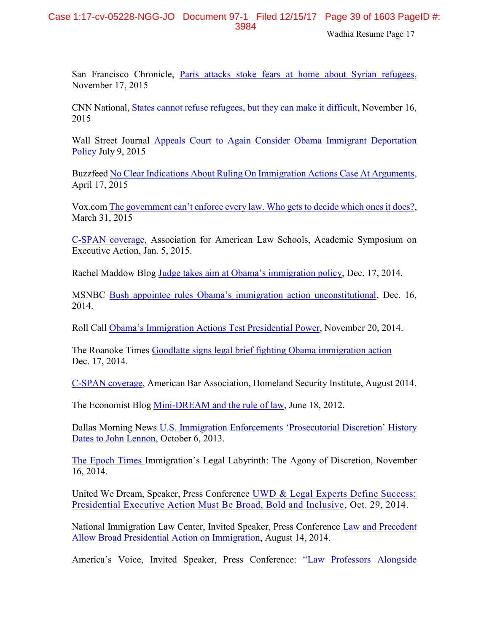San Francisco Chronicle, [Paris attacks stoke fears at home about Syrian refugees,](http://www.sfgate.com/bayarea/article/Paris-attacks-stoke-fears-at-home-over-Syrian-6639487.php) November 17, 2015

CNN National, [States cannot refuse refugees, but they can make it difficult,](http://www.cnn.com/2015/11/16/politics/refugee-states-governors-syria/index.html) November 16, 2015

Wall Street Journal [Appeals Court to Again Consider Obama Immigrant Deportation](http://www.wsj.com/articles/appeals-court-to-again-consider-obama-immigrant-deportation-policy-1436465238)  [Policy](http://www.wsj.com/articles/appeals-court-to-again-consider-obama-immigrant-deportation-policy-1436465238) July 9, 2015

Buzzfee[d No Clear Indications About Ruling On Immigration Actions Case At Arguments,](http://www.buzzfeed.com/johnstanton/no-clear-indications-about-ruling-on-immigration-actions-cas#.oml05YBGR) April 17, 2015

Vox.com [The government can't enforce every law. Who gets to decide which ones it does?](http://www.vox.com/2015/3/31/8306311/prosecutorial-discretion), March 31, 2015

[C-SPAN coverage,](http://www.c-span.org/video/?323544-3/discussion-executive-action-immigration) Association for American Law Schools, Academic Symposium on Executive Action, Jan. 5, 2015.

Rachel Maddow Blog [Judge takes aim at Obama's immigration policy](http://www.msnbc.com/rachel-maddow-show/judge-takes-aim-obamas-immigration-policy), Dec. 17, 2014.

MSNBC [Bush appointee rules Obama's immigration action unconstitutional](http://www.msnbc.com/msnbc/bush-appointee-rules-obamas-immigration-action-unconstitutional), Dec. 16, 2014.

Roll Call [Obama's Immigration Actions Test Presidential Power](http://www.rollcall.com/news/obamas_immigration_actions_test_presidential_power-238142-1.html), November 20, 2014.

The Roanoke Times [Goodlatte signs legal brief fighting Obama immigration action](http://www.roanoke.com/news/virginia/goodlatte-signs-legal-brief-fighting-obama-immigration-action/article_6c633293-d286-5df7-bdf5-bf51d4a0749f.html) Dec. 17, 2014.

[C-SPAN coverage,](file://///dsl.edu/facultysec/Facultysec-up/Lombardo/Clinic%20Professors/Wadhia/CV/???%09http:/www.c-span.org/video/%3f321116-6/discussion-immigration-law-executive-power) American Bar Association, Homeland Security Institute, August 2014.

The Economist Blog [Mini-DREAM and the rule of law,](http://www.economist.com/blogs/democracyinamerica/2012/06/executive-discretion) June 18, 2012.

Dallas Morning News [U.S. Immigration Enforcements 'Prosecutorial Discretion' History](http://www.dallasnews.com/news/metro/20131006-u.s.-immigration-enforcements-prosecutorial-discretion-history-dates-back-to-john-lennon.ece)  [Dates to John Lennon,](http://www.dallasnews.com/news/metro/20131006-u.s.-immigration-enforcements-prosecutorial-discretion-history-dates-back-to-john-lennon.ece) October 6, 2013.

[The Epoch Times](http://www.theepochtimes.com/n3/1084752-immigrations-legal-labyrinthe-the-agony-of-discretion/) Immigration's Legal Labyrinth: The Agony of Discretion, November 16, 2014.

United We Dream, Speaker, Press Conference [UWD & Legal Experts Define Success:](http://unitedwedream.org/press-releases/uwd-legal-experts-define-success-presidential-executive-action-must-broad-bold-inclusive/)  [Presidential Executive Action Must Be Broad, Bold and Inclusive,](http://unitedwedream.org/press-releases/uwd-legal-experts-define-success-presidential-executive-action-must-broad-bold-inclusive/) Oct. 29, 2014.

National Immigration Law Center, Invited Speaker, Press Conference [Law and Precedent](http://www.nilc.org/nr081314.html)  [Allow Broad Presidential Action on Immigration,](http://www.nilc.org/nr081314.html) August 14, 2014.

America's Voice, Invited Speaker, Press Conference: "[Law Professors Alongside](http://act.americasvoiceonline.org/page/-/americasvoice/audio/DREAM%20060112.mp3)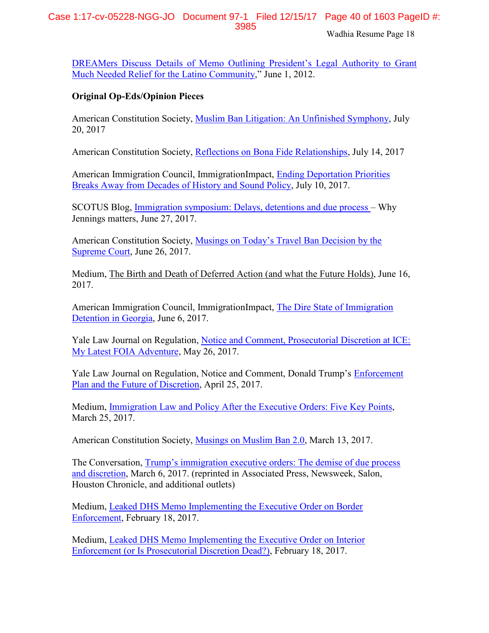## Case 1:17-cv-05228-NGG-JO Document 97-1 Filed 12/15/17 Page 40 of 1603 PageID #: 3985

Wadhia Resume Page 18

[DREAMers Discuss Details of Memo Outlining President's Legal Author](http://act.americasvoiceonline.org/page/-/americasvoice/audio/DREAM%20060112.mp3)ity to Grant [Much Needed Relief for the Latino Community](http://act.americasvoiceonline.org/page/-/americasvoice/audio/DREAM%20060112.mp3)," June 1, 2012.

## **Original Op-Eds/Opinion Pieces**

American Constitution Society, [Muslim Ban Litigation: An Unfinished Symphony,](https://www.acslaw.org/acsblog/muslim-ban-litigation-an-unfinished-symphony) July 20, 2017

American Constitution Society, [Reflections on Bona Fide Relationships,](https://www.acslaw.org/acsblog/reflections-on-bona-fide-relationships) July 14, 2017

American Immigration Council, ImmigrationImpact, [Ending Deportation Priorities](http://immigrationimpact.com/2017/07/10/ending-deportation-priorities-history-policy/?utm_content=bufferd09d9&utm_medium=social&utm_source=twitter.com&utm_campaign=buffer)  [Breaks Away from Decades of History and Sound Policy,](http://immigrationimpact.com/2017/07/10/ending-deportation-priorities-history-policy/?utm_content=bufferd09d9&utm_medium=social&utm_source=twitter.com&utm_campaign=buffer) July 10, 2017.

SCOTUS Blog, [Immigration symposium: Delays, detentions and due process](http://www.scotusblog.com/2017/06/immigration-symposium-delays-detentions-due-process-jennings-matters/) – Why Jennings matters, June 27, 2017.

American Constitution Society, [Musings on Today's Travel Ban Decision by the](https://www.acslaw.org/acsblog/musings-on-today%E2%80%99s-travel-ban-decision-by-the-supreme-court)  [Supreme Court,](https://www.acslaw.org/acsblog/musings-on-today%E2%80%99s-travel-ban-decision-by-the-supreme-court) June 26, 2017.

Medium, The Birth and Death of Deferred Action (and what the Future Holds), June 16, 2017.

American Immigration Council, ImmigrationImpact, [The Dire State of Immigration](http://immigrationimpact.com/2017/06/06/immigration-detention-in-georgia/)  [Detention in Georgia,](http://immigrationimpact.com/2017/06/06/immigration-detention-in-georgia/) June 6, 2017.

Yale Law Journal on Regulation, Notice and Comment, [Prosecutorial Discretion at ICE:](http://yalejreg.com/nc/prosecutorial-discretion-at-ice-my-latest-foia-adventure-by-shoba-sivaprasad-wadhia/)  [My Latest FOIA Adventure,](http://yalejreg.com/nc/prosecutorial-discretion-at-ice-my-latest-foia-adventure-by-shoba-sivaprasad-wadhia/) May 26, 2017.

Yale Law Journal on Regulation, Notice and Comment, Donald Trump's [Enforcement](http://yalejreg.com/nc/donald-trumps-enforcement-plan-and-the-future-of-discretion-by-shoba-sivaprasad-wadhia/)  [Plan and the Future of Discretion,](http://yalejreg.com/nc/donald-trumps-enforcement-plan-and-the-future-of-discretion-by-shoba-sivaprasad-wadhia/) April 25, 2017.

Medium, [Immigration Law and Policy After the Executive Orders: Five Key](https://medium.com/@shobawadhia/immigration-law-and-policy-after-the-executive-orders-five-key-points-7ac6b5422b9b#.vatdkhwv6) Points, March 25, 2017.

American Constitution Society, [Musings on Muslim Ban 2.0,](https://www.acslaw.org/acsblog/musings-on-muslim-ban-20) March 13, 2017.

The Conversation, [Trump's immigration executive orders: The demise of due process](https://theconversation.com/trumps-immigration-executive-orders-the-demise-of-due-process-and-discretion-73948)  and [discretion,](https://theconversation.com/trumps-immigration-executive-orders-the-demise-of-due-process-and-discretion-73948) March 6, 2017. (reprinted in Associated Press, Newsweek, Salon, Houston Chronicle, and additional outlets)

Medium, [Leaked DHS Memo Implementing the Executive Order on Border](https://medium.com/@shobawadhia/summary-of-dhs-memo-implementing-the-executive-order-on-border-enforcement-460c32cd6af#.sskqw3qvc)  [Enforcement,](https://medium.com/@shobawadhia/summary-of-dhs-memo-implementing-the-executive-order-on-border-enforcement-460c32cd6af#.sskqw3qvc) February 18, 2017.

Medium, [Leaked DHS Memo Implementing the Executive Order on Interior](https://medium.com/@shobawadhia/dhs-memo-implementing-the-executive-order-on-interior-enforcement-or-is-prosecutorial-discretion-ec26cbf3c6f1#.tpekth9ob)  [Enforcement \(or Is Prosecutorial Discretion Dead?\),](https://medium.com/@shobawadhia/dhs-memo-implementing-the-executive-order-on-interior-enforcement-or-is-prosecutorial-discretion-ec26cbf3c6f1#.tpekth9ob) February 18, 2017.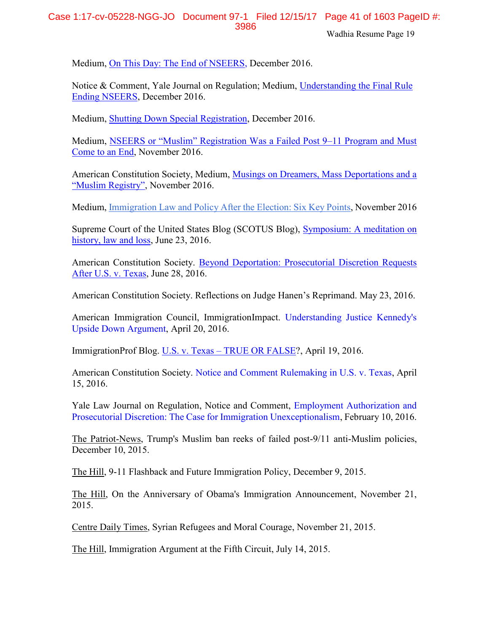Medium, On [This Day: The End of NSEERS, December 2016.](https://medium.com/@shobawadhia/on-this-day-the-end-of-nseers-2959935eec66#.tx6hdao3o)

Notice & Comment, Yale Journal on Regulation; Medium, [Understanding the Final Rule](http://yalejreg.com/nc/understanding-the-final-rule-ending-nseers-by-shoba-sivaprasad-wadhia/)  [Ending NSEERS,](http://yalejreg.com/nc/understanding-the-final-rule-ending-nseers-by-shoba-sivaprasad-wadhia/) December 2016.

Medium, [Shutting Down Special Registration,](https://medium.com/@shobawadhia/shutting-down-special-registration-e40d25e9177b#.e15cxdi5g) December 2016.

Medium, [NSEERS or "Muslim" Registration Was a Failed Post 9–](https://medium.com/@shobawadhia/nseers-or-muslim-registration-was-a-failed-post-9-11-program-and-must-come-to-an-end-1200469bf64b#.dpi1v6o1n)11 Program and Must [Come to an](https://medium.com/@shobawadhia/nseers-or-muslim-registration-was-a-failed-post-9-11-program-and-must-come-to-an-end-1200469bf64b#.dpi1v6o1n) End, November 2016.

American Constitution Society, Medium, [Musings on Dreamers, Mass Deportations and a](https://medium.com/@shobawadhia/musings-on-dreamers-mass-deportations-and-a-muslim-registry-78dc37e44527#.oo73vjr9h)  ["Muslim Registry"](https://medium.com/@shobawadhia/musings-on-dreamers-mass-deportations-and-a-muslim-registry-78dc37e44527#.oo73vjr9h), November 2016.

Medium, [Immigration](https://pennstatelaw.psu.edu/sites/default/files/documents/pdfs/Immigrants/2PagerCentralPAFinal.pdf) Law and Policy After the Election: Six Key Points, November 2016

Supreme Court of the United States Blog (SCOTUS Blog), [Symposium: A meditation on](http://www.scotusblog.com/2016/06/symposium-a-meditation-on-history-law-and-loss/)  [history, law and loss,](http://www.scotusblog.com/2016/06/symposium-a-meditation-on-history-law-and-loss/) June 23, 2016.

American Constitution Society. [Beyond Deportation: Prosecutorial Discretion Requests](http://www.acslaw.org/acsblog/beyond-deportation-prosecutorial-discretion-requests-after-us-v-texas)  [After U.S. v. Texas,](http://www.acslaw.org/acsblog/beyond-deportation-prosecutorial-discretion-requests-after-us-v-texas) June 28, 2016.

American Constitution Society. Reflections on Judge Hanen's Reprimand. May 23, 2016.

American Immigration Council, ImmigrationImpact. [Understanding Justice Kennedy's](http://immigrationimpact.com/2016/04/20/justice-kennedy-united-states-v-texas/)  [Upside Down Argument,](http://immigrationimpact.com/2016/04/20/justice-kennedy-united-states-v-texas/) April 20, 2016.

ImmigrationProf Blog. U.S. v. Texas – [TRUE OR FALSE?](http://lawprofessors.typepad.com/immigration/2016/04/us-v-texas-true-or-false-by-shoba-sivaprasad-wadhia.html), April 19, 2016.

American Constitution Society. [Notice and Comment Rulemaking in U.S. v. Texas,](https://www.acslaw.org/acsblog/notice-and-comment-rulemaking-in-united-states-v-texas) April 15, 2016.

Yale Law Journal on Regulation, Notice and Comment, [Employment Authorization and](http://www.yalejreg.com/blog/employment-authorization-and-prosecutorial-discretion-the-case-for-immigration-unexceptionalism-by-s)  [Prosecutorial Discretion: The Case for Immigration Unexceptionalism,](http://www.yalejreg.com/blog/employment-authorization-and-prosecutorial-discretion-the-case-for-immigration-unexceptionalism-by-s) February 10, 2016.

The Patriot-News, [Trump's Muslim ban reeks of failed post-9/11 anti-Muslim policies,](http://www.pennlive.com/opinion/2015/12/trumps_muslim_ban_reeks_of_fai.html)  [December 10, 2015.](http://www.pennlive.com/opinion/2015/12/trumps_muslim_ban_reeks_of_fai.html)

The Hill, [9-11 Flashback and Future Immigration Policy,](http://thehill.com/blogs/congress-blog/homeland-security/262478-9-11-flashback-and-future-immigration-policy) December 9, 2015.

The Hill, [On the Anniversary of Obama's Immigration Announcement,](http://thehill.com/blogs/congress-blog/civil-rights/260937-on-the-anniversary-of-obamas-immigration-announcement) November 21, 2015.

Centre Daily Times, [Syrian Refugees and Moral Courage,](http://www.centredaily.com/opinion/article45858775.html) November 21, 2015.

The Hill, Immigration Argument at the Fifth Circuit, July 14, 2015.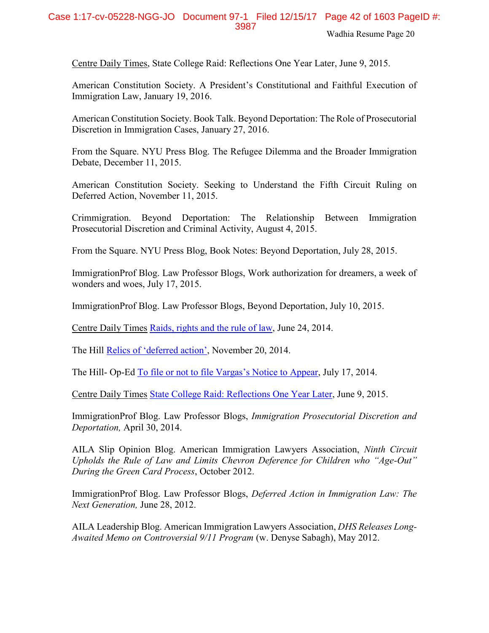## Case 1:17-cv-05228-NGG-JO Document 97-1 Filed 12/15/17 Page 42 of 1603 PageID #: 3987

Wadhia Resume Page 20

Centre Daily Times, State College Raid: Reflections One Year Later, June 9, 2015.

American Constitution Society. A President's Constitutional and Faithful Execution of Immigration Law, January 19, 2016.

American Constitution Society. Book Talk. Beyond Deportation: The Role of Prosecutorial Discretion in Immigration Cases, January 27, 2016.

From the Square. NYU Press Blog. [The Refugee Dilemma and the Broader Immigration](http://www.fromthesquare.org/?p=7884#.VmsXPG4erfc)  [Debate,](http://www.fromthesquare.org/?p=7884#.VmsXPG4erfc) December 11, 2015.

American Constitution Society. [Seeking to Understand the Fifth Circuit Ruling on](https://www.acslaw.org/acsblog/seeking-to-understand-the-fifth-circuit-ruling-on-deferred-action)  [Deferred Action,](https://www.acslaw.org/acsblog/seeking-to-understand-the-fifth-circuit-ruling-on-deferred-action) November 11, 2015.

Crimmigration. Beyond Deportation: The Relationship Between Immigration Prosecutorial Discretion and Criminal Activity, August 4, 2015.

From the Square. NYU Press Blog, Book Notes: Beyond Deportation, July 28, 2015.

ImmigrationProf Blog. Law Professor Blogs, Work authorization for dreamers, a week of wonders and woes, July 17, 2015.

ImmigrationProf Blog. Law Professor Blogs, Beyond Deportation, July 10, 2015.

Centre Daily Times [Raids, rights and the rule of law,](http://www.centredaily.com/2014/06/24/4239224/their-view-raids-rights-and-the.html?sp=/99/145/) June 24, 2014.

The Hill [Relics of 'deferred action'](http://thehill.com/blogs/congress-blog/civil-rights/224744-relics-of-deferred-action), November 20, 2014.

The Hill- Op-Ed [To file or not to file Vargas's Notice to Appear](http://thehill.com/blogs/congress-blog/judicial/212452-to-file-or-not-to-file-vargass-notice-to-appear), July 17, 2014.

Centre Daily Times [State College Raid: Reflections One Year Later,](http://www.centredaily.com/2015/06/09/4786920_state-college-immigration-raid.html?rh=1) June 9, 2015.

ImmigrationProf Blog. Law Professor Blogs, *Immigration Prosecutorial Discretion and Deportation,* April 30, 2014.

AILA Slip Opinion Blog. American Immigration Lawyers Association, *[Ninth Circuit](http://ailaslipopinionblog.org/2012/10/02/ninth-circuit-upholds-the-rule-of-law-and-limits-chevron-deference-for-children-who-age-out-during-the-green-card-process/)  Upholds the [Rule of Law and Limits Chevron Deference for Children who "Age](http://ailaslipopinionblog.org/2012/10/02/ninth-circuit-upholds-the-rule-of-law-and-limits-chevron-deference-for-children-who-age-out-during-the-green-card-process/)-Out" [During the Green Card Process](http://ailaslipopinionblog.org/2012/10/02/ninth-circuit-upholds-the-rule-of-law-and-limits-chevron-deference-for-children-who-age-out-during-the-green-card-process/)*, October 2012.

ImmigrationProf Blog. Law Professor Blogs, *Deferred Action in Immigration Law: The Next Generation,* June 28, 2012.

AILA Leadership Blog. American Immigration Lawyers Association, *DHS Releases Long-Awaited Memo on Controversial 9/11 Program* (w. Denyse Sabagh), May 2012.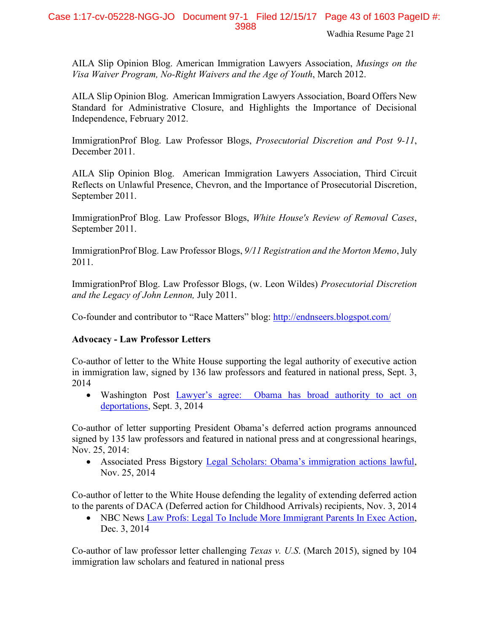AILA Slip Opinion Blog. American Immigration Lawyers Association, *Musings on the Visa Waiver Program, No-Right Waivers and the Age of Youth*, March 2012.

AILA Slip Opinion Blog. American Immigration Lawyers Association, [Board Offers New](http://www.ailaslipopinionblog.com/2012/02/02/board-offers-new-standard-for-administrative-closure-and-highlights-the-importance-of-decisional-independence-by-shoba-sivaprasad-wadhia/)  Standard for Administrative Closure, [and Highlights the Importance of Decisional](http://www.ailaslipopinionblog.com/2012/02/02/board-offers-new-standard-for-administrative-closure-and-highlights-the-importance-of-decisional-independence-by-shoba-sivaprasad-wadhia/)  [Independence, February 2012.](http://www.ailaslipopinionblog.com/2012/02/02/board-offers-new-standard-for-administrative-closure-and-highlights-the-importance-of-decisional-independence-by-shoba-sivaprasad-wadhia/)

ImmigrationProf Blog. Law Professor Blogs, *Prosecutorial Discretion and Post 9-11*, December 2011.

AILA Slip Opinion Blog. American Immigration Lawyers Association, [Third Circuit](http://www.ailaslipopinionblog.com/2011/09/28/third-circuit-reflects-on-unlawful-presence-chevron-and-the-importance-of-prosecutorial-discretion/)  [Reflects on Unlawful Presence, Chevron, and the Importance of Prosecutorial Discretion,](http://www.ailaslipopinionblog.com/2011/09/28/third-circuit-reflects-on-unlawful-presence-chevron-and-the-importance-of-prosecutorial-discretion/) September 2011.

ImmigrationProf Blog. Law Professor Blogs, *White House's Review of Removal Cases*, September 2011.

ImmigrationProf Blog. Law Professor Blogs, *9/11 Registration and the Morton Memo*, July 2011.

ImmigrationProf Blog. Law Professor Blogs, (w. Leon Wildes) *Prosecutorial Discretion and the Legacy of John Lennon,* July 2011.

Co-founder and contributor to "Race Matters" blog:<http://endnseers.blogspot.com/>

## **Advocacy - Law Professor Letters**

Co-author of letter to the White House supporting the legal authority of executive action in immigration law, signed by 136 law professors and featured in national press, Sept. 3, 2014

• Washington Post [Lawyer's agree: Obama has broad authority to act o](http://www.washingtonpost.com/blogs/plum-line/wp/2014/09/03/lawyers-agree-obama-has-broad-authority-to-act-on-deportations/)n [deportations,](http://www.washingtonpost.com/blogs/plum-line/wp/2014/09/03/lawyers-agree-obama-has-broad-authority-to-act-on-deportations/) Sept. 3, 2014

Co-author of letter supporting President Obama's deferred action programs announced signed by 135 law professors and featured in national press and at congressional hearings, Nov. 25, 2014:

• Associated Press Bigstory [Legal Scholars: Obama's immigration actions lawful](http://bigstory.ap.org/article/c957a284aaa748dfba47ece9ce2712c1/legal-scholars-obamas-immigration-actions-lawful), Nov. 25, 2014

Co-author of letter to the White House defending the legality of extending deferred action to the parents of DACA (Deferred action for Childhood Arrivals) recipients, Nov. 3, 2014

• NBC News [Law Profs: Legal To Include More Immigrant Parents In Exec Action,](http://www.nbcnews.com/storyline/immigration-reform/law-profs-legal-include-more-immigrant-parents-exec-action-n260551) Dec. 3, 2014

Co-author of law professor letter challenging *Texas v. U.S*. (March 2015), signed by 104 immigration law scholars and featured in national press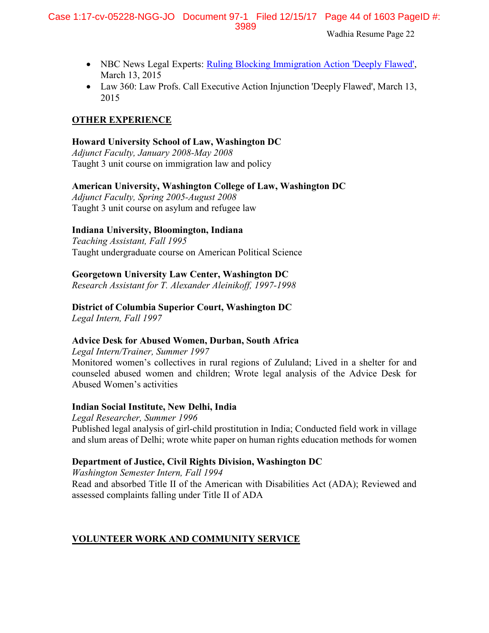- NBC News Legal Experts: [Ruling Blocking Immigration Action 'Deeply Flawed',](http://www.nbcnews.com/news/latino/experts-texas-judges-immigration-action-ruling-deeply-flawed-n322751) March 13, 2015
- Law 360: Law Profs. Call Executive Action Injunction 'Deeply Flawed', March 13, 2015

## **OTHER EXPERIENCE**

## **Howard University School of Law, Washington DC**

*Adjunct Faculty, January 2008-May 2008*  Taught 3 unit course on immigration law and policy

## **American University, Washington College of Law, Washington DC**

*Adjunct Faculty, Spring 2005-August 2008* Taught 3 unit course on asylum and refugee law

## **Indiana University, Bloomington, Indiana**

*Teaching Assistant, Fall 1995* Taught undergraduate course on American Political Science

## **Georgetown University Law Center, Washington DC**

*Research Assistant for T. Alexander Aleinikoff, 1997-1998* 

## **District of Columbia Superior Court, Washington DC**

*Legal Intern, Fall 1997*

## **Advice Desk for Abused Women, Durban, South Africa**

*Legal Intern/Trainer, Summer 1997* Monitored women's collectives in rural regions of Zululand; Lived in a shelter for and counseled abused women and children; Wrote legal analysis of the Advice Desk for Abused Women's activities

## **Indian Social Institute, New Delhi, India**

*Legal Researcher, Summer 1996* Published legal analysis of girl-child prostitution in India; Conducted field work in village and slum areas of Delhi; wrote white paper on human rights education methods for women

## **Department of Justice, Civil Rights Division, Washington DC**

*Washington Semester Intern, Fall 1994* Read and absorbed Title II of the American with Disabilities Act (ADA); Reviewed and assessed complaints falling under Title II of ADA

## **VOLUNTEER WORK AND COMMUNITY SERVICE**